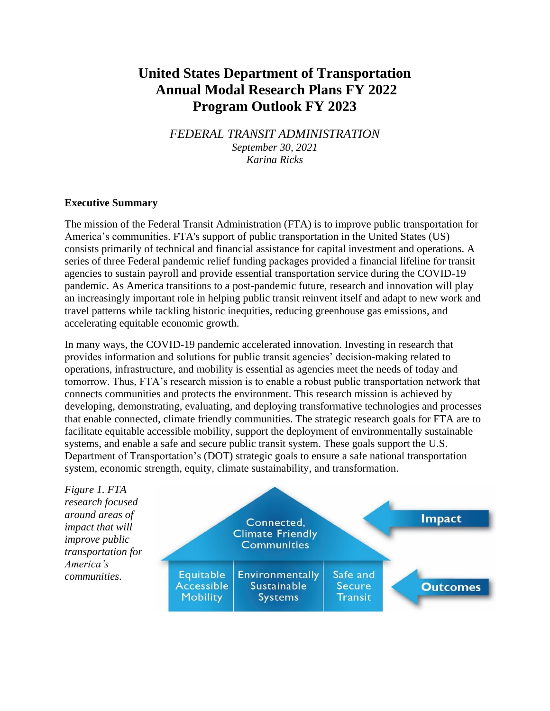# **United States Department of Transportation Annual Modal Research Plans FY 2022 Program Outlook FY 2023**

*FEDERAL TRANSIT ADMINISTRATION September 30, 2021 Karina Ricks*

## **Executive Summary**

The mission of the Federal Transit Administration (FTA) is to improve public transportation for America's communities. FTA's support of public transportation in the United States (US) consists primarily of technical and financial assistance for capital investment and operations. A series of three Federal pandemic relief funding packages provided a financial lifeline for transit agencies to sustain payroll and provide essential transportation service during the COVID-19 pandemic. As America transitions to a post-pandemic future, research and innovation will play an increasingly important role in helping public transit reinvent itself and adapt to new work and travel patterns while tackling historic inequities, reducing greenhouse gas emissions, and accelerating equitable economic growth.

In many ways, the COVID-19 pandemic accelerated innovation. Investing in research that provides information and solutions for public transit agencies' decision-making related to operations, infrastructure, and mobility is essential as agencies meet the needs of today and tomorrow. Thus, FTA's research mission is to enable a robust public transportation network that connects communities and protects the environment. This research mission is achieved by developing, demonstrating, evaluating, and deploying transformative technologies and processes that enable connected, climate friendly communities. The strategic research goals for FTA are to facilitate equitable accessible mobility, support the deployment of environmentally sustainable systems, and enable a safe and secure public transit system. These goals support the U.S. Department of Transportation's (DOT) strategic goals to ensure a safe national transportation system, economic strength, equity, climate sustainability, and transformation.

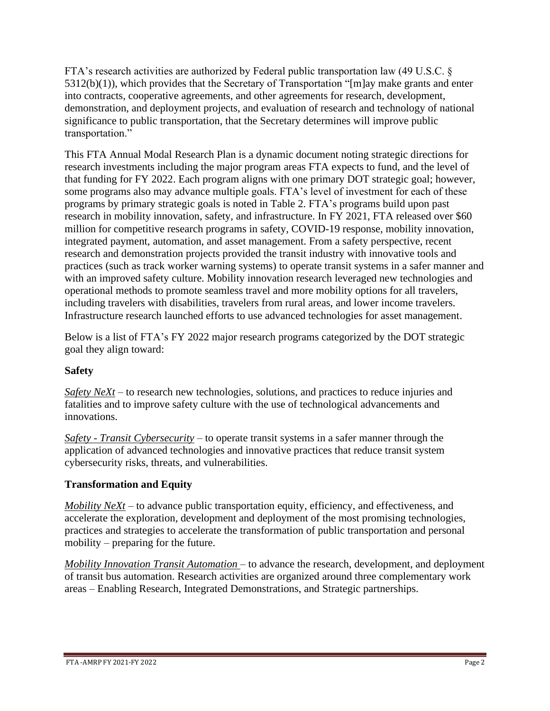FTA's research activities are authorized by Federal public transportation law (49 U.S.C. §  $5312(b)(1)$ , which provides that the Secretary of Transportation "[m]ay make grants and enter into contracts, cooperative agreements, and other agreements for research, development, demonstration, and deployment projects, and evaluation of research and technology of national significance to public transportation, that the Secretary determines will improve public transportation."

This FTA Annual Modal Research Plan is a dynamic document noting strategic directions for research investments including the major program areas FTA expects to fund, and the level of that funding for FY 2022. Each program aligns with one primary DOT strategic goal; however, some programs also may advance multiple goals. FTA's level of investment for each of these programs by primary strategic goals is noted in Table 2. FTA's programs build upon past research in mobility innovation, safety, and infrastructure. In FY 2021, FTA released over \$60 million for competitive research programs in safety, COVID-19 response, mobility innovation, integrated payment, automation, and asset management. From a safety perspective, recent research and demonstration projects provided the transit industry with innovative tools and practices (such as track worker warning systems) to operate transit systems in a safer manner and with an improved safety culture. Mobility innovation research leveraged new technologies and operational methods to promote seamless travel and more mobility options for all travelers, including travelers with disabilities, travelers from rural areas, and lower income travelers. Infrastructure research launched efforts to use advanced technologies for asset management.

Below is a list of FTA's FY 2022 major research programs categorized by the DOT strategic goal they align toward:

# **Safety**

*Safety NeXt* – to research new technologies, solutions, and practices to reduce injuries and fatalities and to improve safety culture with the use of technological advancements and innovations.

*Safety - Transit Cybersecurity* – to operate transit systems in a safer manner through the application of advanced technologies and innovative practices that reduce transit system cybersecurity risks, threats, and vulnerabilities.

# **Transformation and Equity**

*Mobility NeXt* – to advance public transportation equity, efficiency, and effectiveness, and accelerate the exploration, development and deployment of the most promising technologies, practices and strategies to accelerate the transformation of public transportation and personal mobility – preparing for the future.

*Mobility Innovation Transit Automation* – to advance the research, development, and deployment of transit bus automation. Research activities are organized around three complementary work areas – Enabling Research, Integrated Demonstrations, and Strategic partnerships.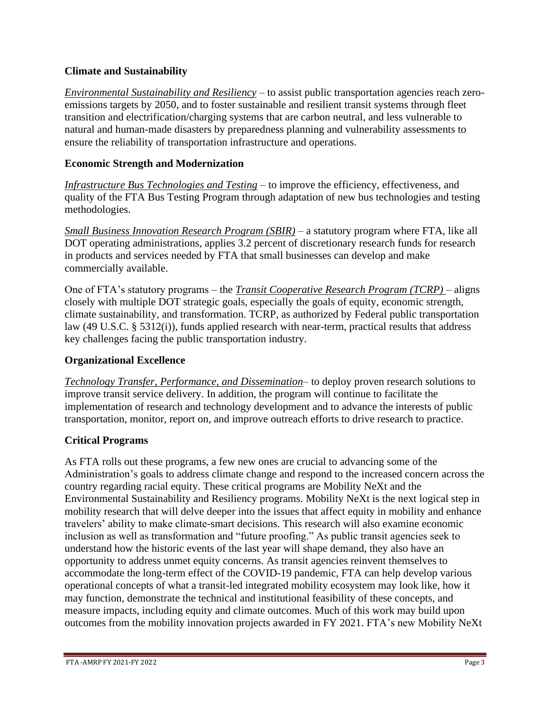# **Climate and Sustainability**

*Environmental Sustainability and Resiliency* – to assist public transportation agencies reach zeroemissions targets by 2050, and to foster sustainable and resilient transit systems through fleet transition and electrification/charging systems that are carbon neutral, and less vulnerable to natural and human-made disasters by preparedness planning and vulnerability assessments to ensure the reliability of transportation infrastructure and operations.

# **Economic Strength and Modernization**

*Infrastructure Bus Technologies and Testing* – to improve the efficiency, effectiveness, and quality of the FTA Bus Testing Program through adaptation of new bus technologies and testing methodologies.

*Small Business Innovation Research Program (SBIR)* – a statutory program where FTA, like all DOT operating administrations, applies 3.2 percent of discretionary research funds for research in products and services needed by FTA that small businesses can develop and make commercially available.

One of FTA's statutory programs – the *Transit Cooperative Research Program (TCRP)* – aligns closely with multiple DOT strategic goals, especially the goals of equity, economic strength, climate sustainability, and transformation. TCRP, as authorized by Federal public transportation law (49 U.S.C. § 5312(i)), funds applied research with near-term, practical results that address key challenges facing the public transportation industry.

# **Organizational Excellence**

*Technology Transfer, Performance, and Dissemination*– to deploy proven research solutions to improve transit service delivery. In addition, the program will continue to facilitate the implementation of research and technology development and to advance the interests of public transportation, monitor, report on, and improve outreach efforts to drive research to practice.

# **Critical Programs**

As FTA rolls out these programs, a few new ones are crucial to advancing some of the Administration's goals to address climate change and respond to the increased concern across the country regarding racial equity. These critical programs are Mobility NeXt and the Environmental Sustainability and Resiliency programs. Mobility NeXt is the next logical step in mobility research that will delve deeper into the issues that affect equity in mobility and enhance travelers' ability to make climate-smart decisions. This research will also examine economic inclusion as well as transformation and "future proofing." As public transit agencies seek to understand how the historic events of the last year will shape demand, they also have an opportunity to address unmet equity concerns. As transit agencies reinvent themselves to accommodate the long-term effect of the COVID-19 pandemic, FTA can help develop various operational concepts of what a transit-led integrated mobility ecosystem may look like, how it may function, demonstrate the technical and institutional feasibility of these concepts, and measure impacts, including equity and climate outcomes. Much of this work may build upon outcomes from the mobility innovation projects awarded in FY 2021. FTA's new Mobility NeXt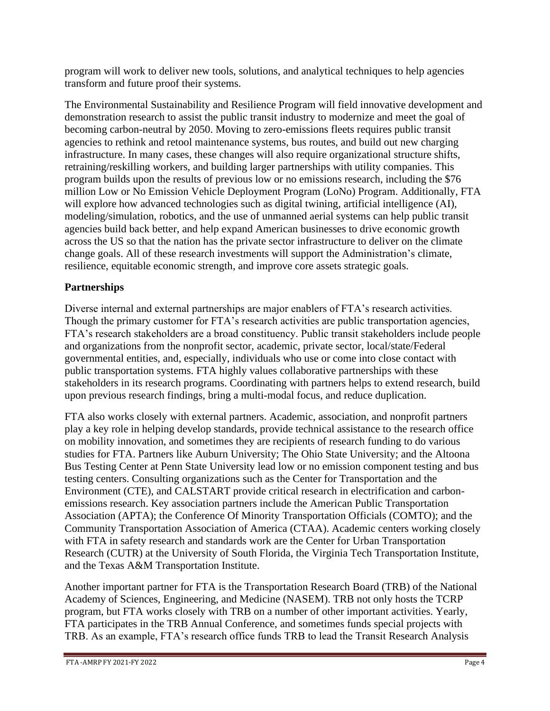program will work to deliver new tools, solutions, and analytical techniques to help agencies transform and future proof their systems.

The Environmental Sustainability and Resilience Program will field innovative development and demonstration research to assist the public transit industry to modernize and meet the goal of becoming carbon-neutral by 2050. Moving to zero-emissions fleets requires public transit agencies to rethink and retool maintenance systems, bus routes, and build out new charging infrastructure. In many cases, these changes will also require organizational structure shifts, retraining/reskilling workers, and building larger partnerships with utility companies. This program builds upon the results of previous low or no emissions research, including the \$76 million Low or No Emission Vehicle Deployment Program (LoNo) Program. Additionally, FTA will explore how advanced technologies such as digital twining, artificial intelligence (AI), modeling/simulation, robotics, and the use of unmanned aerial systems can help public transit agencies build back better, and help expand American businesses to drive economic growth across the US so that the nation has the private sector infrastructure to deliver on the climate change goals. All of these research investments will support the Administration's climate, resilience, equitable economic strength, and improve core assets strategic goals.

# **Partnerships**

Diverse internal and external partnerships are major enablers of FTA's research activities. Though the primary customer for FTA's research activities are public transportation agencies, FTA's research stakeholders are a broad constituency. Public transit stakeholders include people and organizations from the nonprofit sector, academic, private sector, local/state/Federal governmental entities, and, especially, individuals who use or come into close contact with public transportation systems. FTA highly values collaborative partnerships with these stakeholders in its research programs. Coordinating with partners helps to extend research, build upon previous research findings, bring a multi-modal focus, and reduce duplication.

FTA also works closely with external partners. Academic, association, and nonprofit partners play a key role in helping develop standards, provide technical assistance to the research office on mobility innovation, and sometimes they are recipients of research funding to do various studies for FTA. Partners like Auburn University; The Ohio State University; and the Altoona Bus Testing Center at Penn State University lead low or no emission component testing and bus testing centers. Consulting organizations such as the Center for Transportation and the Environment (CTE), and CALSTART provide critical research in electrification and carbonemissions research. Key association partners include the American Public Transportation Association (APTA); the Conference Of Minority Transportation Officials (COMTO); and the Community Transportation Association of America (CTAA). Academic centers working closely with FTA in safety research and standards work are the Center for Urban Transportation Research (CUTR) at the University of South Florida, the Virginia Tech Transportation Institute, and the Texas A&M Transportation Institute.

Another important partner for FTA is the Transportation Research Board (TRB) of the National Academy of Sciences, Engineering, and Medicine (NASEM). TRB not only hosts the TCRP program, but FTA works closely with TRB on a number of other important activities. Yearly, FTA participates in the TRB Annual Conference, and sometimes funds special projects with TRB. As an example, FTA's research office funds TRB to lead the Transit Research Analysis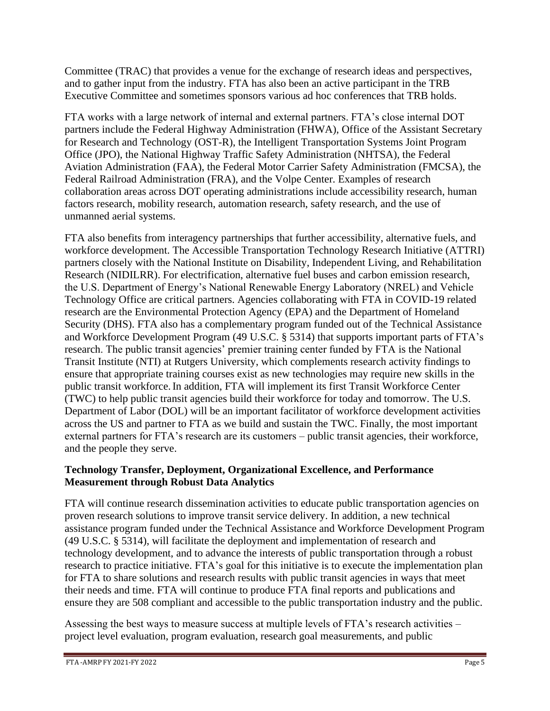Committee (TRAC) that provides a venue for the exchange of research ideas and perspectives, and to gather input from the industry. FTA has also been an active participant in the TRB Executive Committee and sometimes sponsors various ad hoc conferences that TRB holds.

FTA works with a large network of internal and external partners. FTA's close internal DOT partners include the Federal Highway Administration (FHWA), Office of the Assistant Secretary for Research and Technology (OST-R), the Intelligent Transportation Systems Joint Program Office (JPO), the National Highway Traffic Safety Administration (NHTSA), the Federal Aviation Administration (FAA), the Federal Motor Carrier Safety Administration (FMCSA), the Federal Railroad Administration (FRA), and the Volpe Center. Examples of research collaboration areas across DOT operating administrations include accessibility research, human factors research, mobility research, automation research, safety research, and the use of unmanned aerial systems.

FTA also benefits from interagency partnerships that further accessibility, alternative fuels, and workforce development. The Accessible Transportation Technology Research Initiative (ATTRI) partners closely with the National Institute on Disability, Independent Living, and Rehabilitation Research (NIDILRR). For electrification, alternative fuel buses and carbon emission research, the U.S. Department of Energy's National Renewable Energy Laboratory (NREL) and Vehicle Technology Office are critical partners. Agencies collaborating with FTA in COVID-19 related research are the Environmental Protection Agency (EPA) and the Department of Homeland Security (DHS). FTA also has a complementary program funded out of the Technical Assistance and Workforce Development Program (49 U.S.C. § 5314) that supports important parts of FTA's research. The public transit agencies' premier training center funded by FTA is the National Transit Institute (NTI) at Rutgers University, which complements research activity findings to ensure that appropriate training courses exist as new technologies may require new skills in the public transit workforce.In addition, FTA will implement its first Transit Workforce Center (TWC) to help public transit agencies build their workforce for today and tomorrow. The U.S. Department of Labor (DOL) will be an important facilitator of workforce development activities across the US and partner to FTA as we build and sustain the TWC. Finally, the most important external partners for FTA's research are its customers – public transit agencies, their workforce, and the people they serve.

# **Technology Transfer, Deployment, Organizational Excellence, and Performance Measurement through Robust Data Analytics**

FTA will continue research dissemination activities to educate public transportation agencies on proven research solutions to improve transit service delivery. In addition, a new technical assistance program funded under the Technical Assistance and Workforce Development Program (49 U.S.C. § 5314), will facilitate the deployment and implementation of research and technology development, and to advance the interests of public transportation through a robust research to practice initiative. FTA's goal for this initiative is to execute the implementation plan for FTA to share solutions and research results with public transit agencies in ways that meet their needs and time. FTA will continue to produce FTA final reports and publications and ensure they are 508 compliant and accessible to the public transportation industry and the public.

Assessing the best ways to measure success at multiple levels of FTA's research activities – project level evaluation, program evaluation, research goal measurements, and public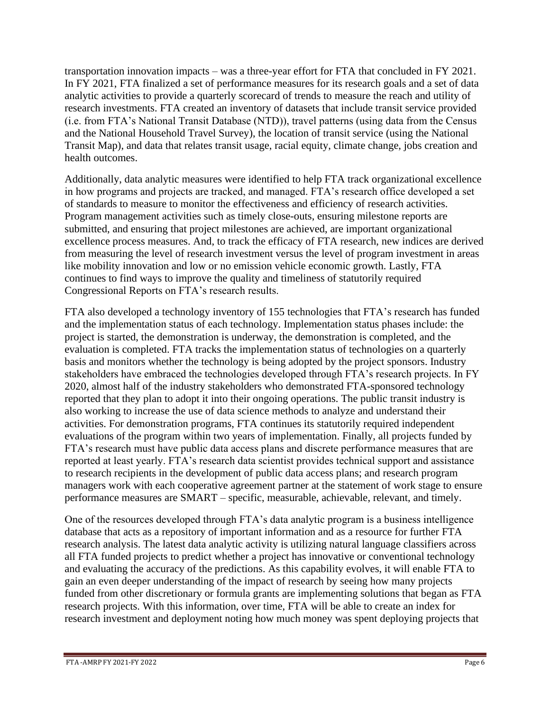transportation innovation impacts – was a three-year effort for FTA that concluded in FY 2021. In FY 2021, FTA finalized a set of performance measures for its research goals and a set of data analytic activities to provide a quarterly scorecard of trends to measure the reach and utility of research investments. FTA created an inventory of datasets that include transit service provided (i.e. from FTA's National Transit Database (NTD)), travel patterns (using data from the Census and the National Household Travel Survey), the location of transit service (using the National Transit Map), and data that relates transit usage, racial equity, climate change, jobs creation and health outcomes.

Additionally, data analytic measures were identified to help FTA track organizational excellence in how programs and projects are tracked, and managed. FTA's research office developed a set of standards to measure to monitor the effectiveness and efficiency of research activities. Program management activities such as timely close-outs, ensuring milestone reports are submitted, and ensuring that project milestones are achieved, are important organizational excellence process measures. And, to track the efficacy of FTA research, new indices are derived from measuring the level of research investment versus the level of program investment in areas like mobility innovation and low or no emission vehicle economic growth. Lastly, FTA continues to find ways to improve the quality and timeliness of statutorily required Congressional Reports on FTA's research results.

FTA also developed a technology inventory of 155 technologies that FTA's research has funded and the implementation status of each technology. Implementation status phases include: the project is started, the demonstration is underway, the demonstration is completed, and the evaluation is completed. FTA tracks the implementation status of technologies on a quarterly basis and monitors whether the technology is being adopted by the project sponsors. Industry stakeholders have embraced the technologies developed through FTA's research projects. In FY 2020, almost half of the industry stakeholders who demonstrated FTA-sponsored technology reported that they plan to adopt it into their ongoing operations. The public transit industry is also working to increase the use of data science methods to analyze and understand their activities. For demonstration programs, FTA continues its statutorily required independent evaluations of the program within two years of implementation. Finally, all projects funded by FTA's research must have public data access plans and discrete performance measures that are reported at least yearly. FTA's research data scientist provides technical support and assistance to research recipients in the development of public data access plans; and research program managers work with each cooperative agreement partner at the statement of work stage to ensure performance measures are SMART – specific, measurable, achievable, relevant, and timely.

One of the resources developed through FTA's data analytic program is a business intelligence database that acts as a repository of important information and as a resource for further FTA research analysis. The latest data analytic activity is utilizing natural language classifiers across all FTA funded projects to predict whether a project has innovative or conventional technology and evaluating the accuracy of the predictions. As this capability evolves, it will enable FTA to gain an even deeper understanding of the impact of research by seeing how many projects funded from other discretionary or formula grants are implementing solutions that began as FTA research projects. With this information, over time, FTA will be able to create an index for research investment and deployment noting how much money was spent deploying projects that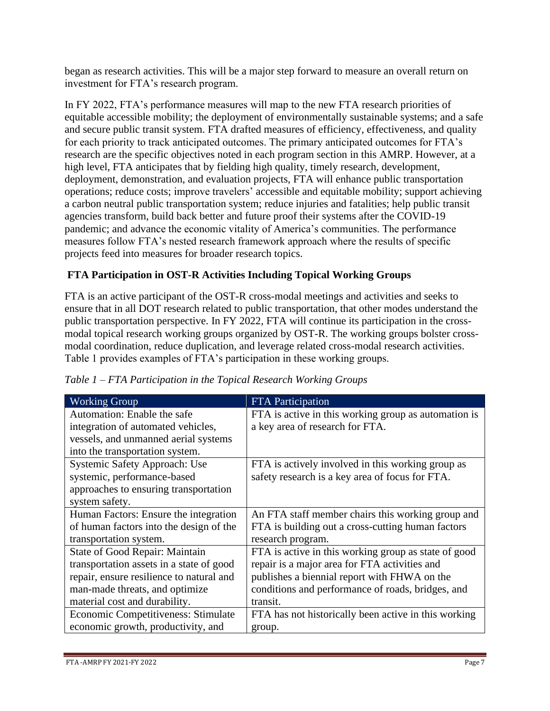began as research activities. This will be a major step forward to measure an overall return on investment for FTA's research program.

In FY 2022, FTA's performance measures will map to the new FTA research priorities of equitable accessible mobility; the deployment of environmentally sustainable systems; and a safe and secure public transit system. FTA drafted measures of efficiency, effectiveness, and quality for each priority to track anticipated outcomes. The primary anticipated outcomes for FTA's research are the specific objectives noted in each program section in this AMRP. However, at a high level, FTA anticipates that by fielding high quality, timely research, development, deployment, demonstration, and evaluation projects, FTA will enhance public transportation operations; reduce costs; improve travelers' accessible and equitable mobility; support achieving a carbon neutral public transportation system; reduce injuries and fatalities; help public transit agencies transform, build back better and future proof their systems after the COVID-19 pandemic; and advance the economic vitality of America's communities. The performance measures follow FTA's nested research framework approach where the results of specific projects feed into measures for broader research topics.

# **FTA Participation in OST-R Activities Including Topical Working Groups**

FTA is an active participant of the OST-R cross-modal meetings and activities and seeks to ensure that in all DOT research related to public transportation, that other modes understand the public transportation perspective. In FY 2022, FTA will continue its participation in the crossmodal topical research working groups organized by OST-R. The working groups bolster crossmodal coordination, reduce duplication, and leverage related cross-modal research activities. Table 1 provides examples of FTA's participation in these working groups.

| <b>Working Group</b>                     | <b>FTA</b> Participation                             |
|------------------------------------------|------------------------------------------------------|
| Automation: Enable the safe              | FTA is active in this working group as automation is |
| integration of automated vehicles,       | a key area of research for FTA.                      |
| vessels, and unmanned aerial systems     |                                                      |
| into the transportation system.          |                                                      |
| Systemic Safety Approach: Use            | FTA is actively involved in this working group as    |
| systemic, performance-based              | safety research is a key area of focus for FTA.      |
| approaches to ensuring transportation    |                                                      |
| system safety.                           |                                                      |
| Human Factors: Ensure the integration    | An FTA staff member chairs this working group and    |
| of human factors into the design of the  | FTA is building out a cross-cutting human factors    |
| transportation system.                   | research program.                                    |
| State of Good Repair: Maintain           | FTA is active in this working group as state of good |
| transportation assets in a state of good | repair is a major area for FTA activities and        |
| repair, ensure resilience to natural and | publishes a biennial report with FHWA on the         |
| man-made threats, and optimize           | conditions and performance of roads, bridges, and    |
| material cost and durability.            | transit.                                             |
| Economic Competitiveness: Stimulate      | FTA has not historically been active in this working |
| economic growth, productivity, and       | group.                                               |

*Table 1 – FTA Participation in the Topical Research Working Groups*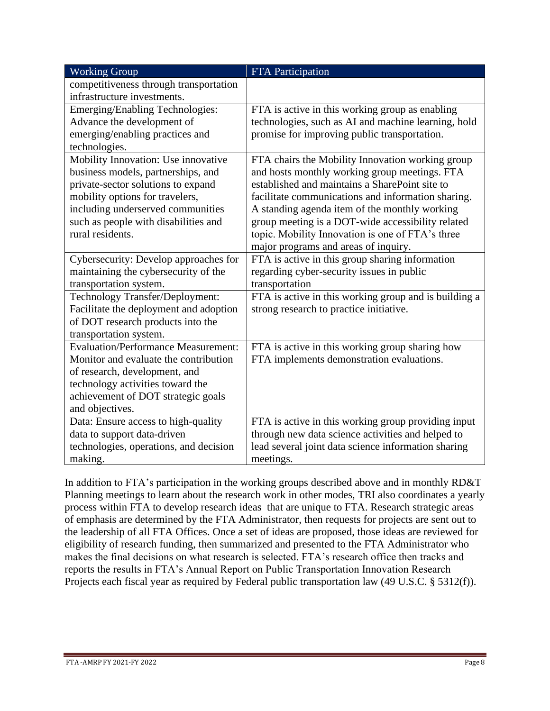| <b>Working Group</b>                       | <b>FTA Participation</b>                              |
|--------------------------------------------|-------------------------------------------------------|
| competitiveness through transportation     |                                                       |
| infrastructure investments.                |                                                       |
| Emerging/Enabling Technologies:            | FTA is active in this working group as enabling       |
| Advance the development of                 | technologies, such as AI and machine learning, hold   |
| emerging/enabling practices and            | promise for improving public transportation.          |
| technologies.                              |                                                       |
| Mobility Innovation: Use innovative        | FTA chairs the Mobility Innovation working group      |
| business models, partnerships, and         | and hosts monthly working group meetings. FTA         |
| private-sector solutions to expand         | established and maintains a SharePoint site to        |
| mobility options for travelers,            | facilitate communications and information sharing.    |
| including underserved communities          | A standing agenda item of the monthly working         |
| such as people with disabilities and       | group meeting is a DOT-wide accessibility related     |
| rural residents.                           | topic. Mobility Innovation is one of FTA's three      |
|                                            | major programs and areas of inquiry.                  |
| Cybersecurity: Develop approaches for      | FTA is active in this group sharing information       |
| maintaining the cybersecurity of the       | regarding cyber-security issues in public             |
| transportation system.                     | transportation                                        |
| Technology Transfer/Deployment:            | FTA is active in this working group and is building a |
| Facilitate the deployment and adoption     | strong research to practice initiative.               |
| of DOT research products into the          |                                                       |
| transportation system.                     |                                                       |
| <b>Evaluation/Performance Measurement:</b> | FTA is active in this working group sharing how       |
| Monitor and evaluate the contribution      | FTA implements demonstration evaluations.             |
| of research, development, and              |                                                       |
| technology activities toward the           |                                                       |
| achievement of DOT strategic goals         |                                                       |
| and objectives.                            |                                                       |
| Data: Ensure access to high-quality        | FTA is active in this working group providing input   |
| data to support data-driven                | through new data science activities and helped to     |
| technologies, operations, and decision     | lead several joint data science information sharing   |
| making.                                    | meetings.                                             |

In addition to FTA's participation in the working groups described above and in monthly RD&T Planning meetings to learn about the research work in other modes, TRI also coordinates a yearly process within FTA to develop research ideas that are unique to FTA. Research strategic areas of emphasis are determined by the FTA Administrator, then requests for projects are sent out to the leadership of all FTA Offices. Once a set of ideas are proposed, those ideas are reviewed for eligibility of research funding, then summarized and presented to the FTA Administrator who makes the final decisions on what research is selected. FTA's research office then tracks and reports the results in FTA's Annual Report on Public Transportation Innovation Research Projects each fiscal year as required by Federal public transportation law (49 U.S.C. § 5312(f)).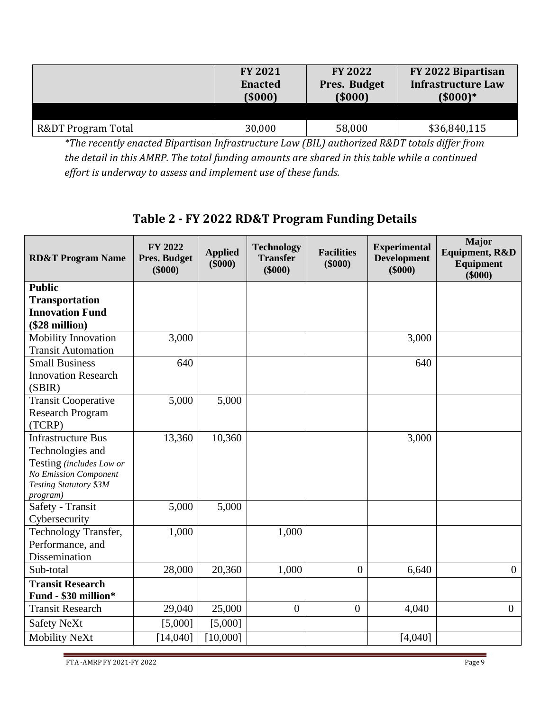|                               | <b>FY 2021</b> | <b>FY 2022</b> | FY 2022 Bipartisan        |
|-------------------------------|----------------|----------------|---------------------------|
|                               | <b>Enacted</b> | Pres. Budget   | <b>Infrastructure Law</b> |
|                               | (5000)         | (5000)         | $(5000)*$                 |
| <b>R&amp;DT Program Total</b> | 30,000         | 58,000         | \$36,840,115              |

*\*The recently enacted Bipartisan Infrastructure Law (BIL) authorized R&DT totals differ from the detail in this AMRP. The total funding amounts are shared in this table while a continued effort is underway to assess and implement use of these funds.*

# **Table 2 - FY 2022 RD&T Program Funding Details**

| <b>RD&amp;T Program Name</b>                                                                                                                           | FY 2022<br><b>Pres. Budget</b><br>$(\$000)$ | <b>Applied</b><br>$(\$000)$ | <b>Technology</b><br><b>Transfer</b><br>$(\$000)$ | <b>Facilities</b><br>\$000 | <b>Experimental</b><br><b>Development</b><br>$(\$000)$ | Major<br><b>Equipment, R&amp;D</b><br>Equipment<br>\$000 |
|--------------------------------------------------------------------------------------------------------------------------------------------------------|---------------------------------------------|-----------------------------|---------------------------------------------------|----------------------------|--------------------------------------------------------|----------------------------------------------------------|
| <b>Public</b><br><b>Transportation</b><br><b>Innovation Fund</b><br>(\$28 million)                                                                     |                                             |                             |                                                   |                            |                                                        |                                                          |
| Mobility Innovation<br><b>Transit Automation</b>                                                                                                       | 3,000                                       |                             |                                                   |                            | 3,000                                                  |                                                          |
| <b>Small Business</b><br><b>Innovation Research</b><br>(SBIR)                                                                                          | 640                                         |                             |                                                   |                            | 640                                                    |                                                          |
| <b>Transit Cooperative</b><br><b>Research Program</b><br>(TCRP)                                                                                        | 5,000                                       | 5,000                       |                                                   |                            |                                                        |                                                          |
| <b>Infrastructure Bus</b><br>Technologies and<br>Testing (includes Low or<br><b>No Emission Component</b><br><b>Testing Statutory \$3M</b><br>program) | 13,360                                      | 10,360                      |                                                   |                            | 3,000                                                  |                                                          |
| Safety - Transit<br>Cybersecurity                                                                                                                      | 5,000                                       | 5,000                       |                                                   |                            |                                                        |                                                          |
| Technology Transfer,<br>Performance, and<br>Dissemination                                                                                              | 1,000                                       |                             | 1,000                                             |                            |                                                        |                                                          |
| Sub-total                                                                                                                                              | 28,000                                      | 20,360                      | 1,000                                             | $\mathbf{0}$               | 6,640                                                  | $\boldsymbol{0}$                                         |
| <b>Transit Research</b><br>Fund - \$30 million*                                                                                                        |                                             |                             |                                                   |                            |                                                        |                                                          |
| <b>Transit Research</b>                                                                                                                                | 29,040                                      | 25,000                      | $\mathbf{0}$                                      | $\boldsymbol{0}$           | 4,040                                                  | $\overline{0}$                                           |
| <b>Safety NeXt</b>                                                                                                                                     | [5,000]                                     | [5,000]                     |                                                   |                            |                                                        |                                                          |
| Mobility NeXt                                                                                                                                          | [14,040]                                    | [10,000]                    |                                                   |                            | [4,040]                                                |                                                          |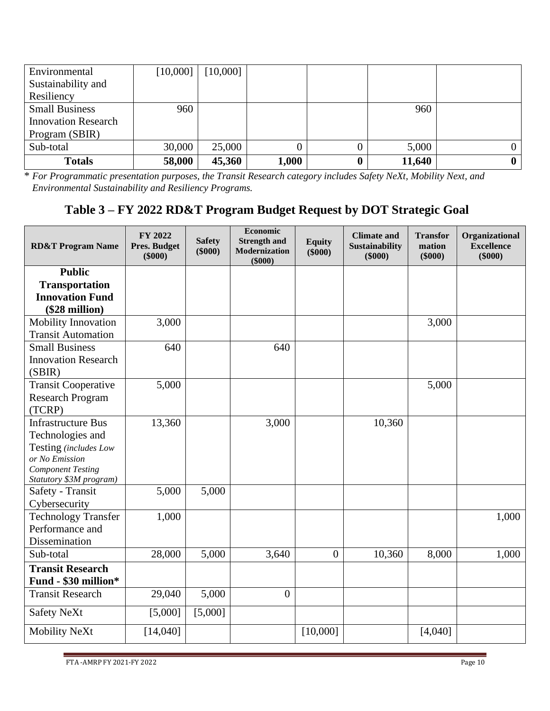| Environmental              | [10,000] | [10,000] |       |        |  |
|----------------------------|----------|----------|-------|--------|--|
| Sustainability and         |          |          |       |        |  |
| Resiliency                 |          |          |       |        |  |
| <b>Small Business</b>      | 960      |          |       | 960    |  |
| <b>Innovation Research</b> |          |          |       |        |  |
| Program (SBIR)             |          |          |       |        |  |
| Sub-total                  | 30,000   | 25,000   |       | 5,000  |  |
| <b>Totals</b>              | 58,000   | 45,360   | 1,000 | 11,640 |  |

\* *For Programmatic presentation purposes, the Transit Research category includes Safety NeXt, Mobility Next, and Environmental Sustainability and Resiliency Programs.*

# **Table 3 – FY 2022 RD&T Program Budget Request by DOT Strategic Goal**

| <b>RD&amp;T Program Name</b> | FY 2022<br><b>Pres. Budget</b><br>$(\$000)$ | <b>Safety</b><br>$(\$000)$ | <b>Economic</b><br><b>Strength and</b><br>Modernization<br>\$000 | <b>Equity</b><br>$(\$000)$ | <b>Climate and</b><br><b>Sustainability</b><br>$(\$000)$ | <b>Transfor</b><br>mation<br>$(\$000)$ | Organizational<br><b>Excellence</b><br>$(\$000)$ |
|------------------------------|---------------------------------------------|----------------------------|------------------------------------------------------------------|----------------------------|----------------------------------------------------------|----------------------------------------|--------------------------------------------------|
| <b>Public</b>                |                                             |                            |                                                                  |                            |                                                          |                                        |                                                  |
| <b>Transportation</b>        |                                             |                            |                                                                  |                            |                                                          |                                        |                                                  |
| <b>Innovation Fund</b>       |                                             |                            |                                                                  |                            |                                                          |                                        |                                                  |
| (\$28 million)               |                                             |                            |                                                                  |                            |                                                          |                                        |                                                  |
| Mobility Innovation          | 3,000                                       |                            |                                                                  |                            |                                                          | 3,000                                  |                                                  |
| <b>Transit Automation</b>    |                                             |                            |                                                                  |                            |                                                          |                                        |                                                  |
| <b>Small Business</b>        | 640                                         |                            | 640                                                              |                            |                                                          |                                        |                                                  |
| <b>Innovation Research</b>   |                                             |                            |                                                                  |                            |                                                          |                                        |                                                  |
| (SBIR)                       |                                             |                            |                                                                  |                            |                                                          |                                        |                                                  |
| <b>Transit Cooperative</b>   | 5,000                                       |                            |                                                                  |                            |                                                          | 5,000                                  |                                                  |
| <b>Research Program</b>      |                                             |                            |                                                                  |                            |                                                          |                                        |                                                  |
| (TCRP)                       |                                             |                            |                                                                  |                            |                                                          |                                        |                                                  |
| <b>Infrastructure Bus</b>    | 13,360                                      |                            | 3,000                                                            |                            | 10,360                                                   |                                        |                                                  |
| Technologies and             |                                             |                            |                                                                  |                            |                                                          |                                        |                                                  |
| Testing (includes Low        |                                             |                            |                                                                  |                            |                                                          |                                        |                                                  |
| or No Emission               |                                             |                            |                                                                  |                            |                                                          |                                        |                                                  |
| <b>Component Testing</b>     |                                             |                            |                                                                  |                            |                                                          |                                        |                                                  |
| Statutory \$3M program)      |                                             |                            |                                                                  |                            |                                                          |                                        |                                                  |
| Safety - Transit             | 5,000                                       | 5,000                      |                                                                  |                            |                                                          |                                        |                                                  |
| Cybersecurity                |                                             |                            |                                                                  |                            |                                                          |                                        |                                                  |
| <b>Technology Transfer</b>   | 1,000                                       |                            |                                                                  |                            |                                                          |                                        | 1,000                                            |
| Performance and              |                                             |                            |                                                                  |                            |                                                          |                                        |                                                  |
| Dissemination                |                                             |                            |                                                                  |                            |                                                          |                                        |                                                  |
| Sub-total                    | 28,000                                      | 5,000                      | 3,640                                                            | $\mathbf{0}$               | 10,360                                                   | 8,000                                  | 1,000                                            |
| <b>Transit Research</b>      |                                             |                            |                                                                  |                            |                                                          |                                        |                                                  |
| Fund - \$30 million*         |                                             |                            |                                                                  |                            |                                                          |                                        |                                                  |
| <b>Transit Research</b>      | 29,040                                      | 5,000                      | $\overline{0}$                                                   |                            |                                                          |                                        |                                                  |
| <b>Safety NeXt</b>           | [5,000]                                     | [5,000]                    |                                                                  |                            |                                                          |                                        |                                                  |
| <b>Mobility NeXt</b>         | [14,040]                                    |                            |                                                                  | [10,000]                   |                                                          | [4,040]                                |                                                  |

FTA -AMRP FY 2021-FY 2022 Page 10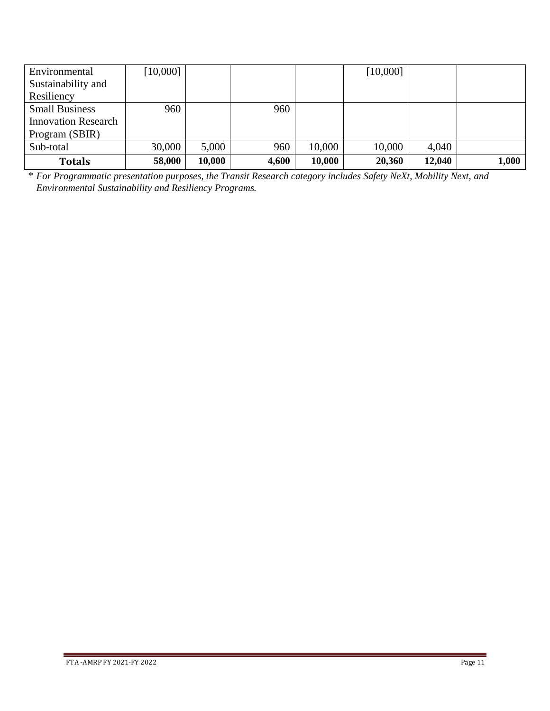| Environmental              | [10,000] |        |       |        | [10,000] |        |       |
|----------------------------|----------|--------|-------|--------|----------|--------|-------|
| Sustainability and         |          |        |       |        |          |        |       |
| Resiliency                 |          |        |       |        |          |        |       |
| <b>Small Business</b>      | 960      |        | 960   |        |          |        |       |
| <b>Innovation Research</b> |          |        |       |        |          |        |       |
| Program (SBIR)             |          |        |       |        |          |        |       |
| Sub-total                  | 30,000   | 5,000  | 960   | 10,000 | 10,000   | 4,040  |       |
| <b>Totals</b>              | 58,000   | 10,000 | 4,600 | 10,000 | 20,360   | 12,040 | 1,000 |

\* *For Programmatic presentation purposes, the Transit Research category includes Safety NeXt, Mobility Next, and Environmental Sustainability and Resiliency Programs.*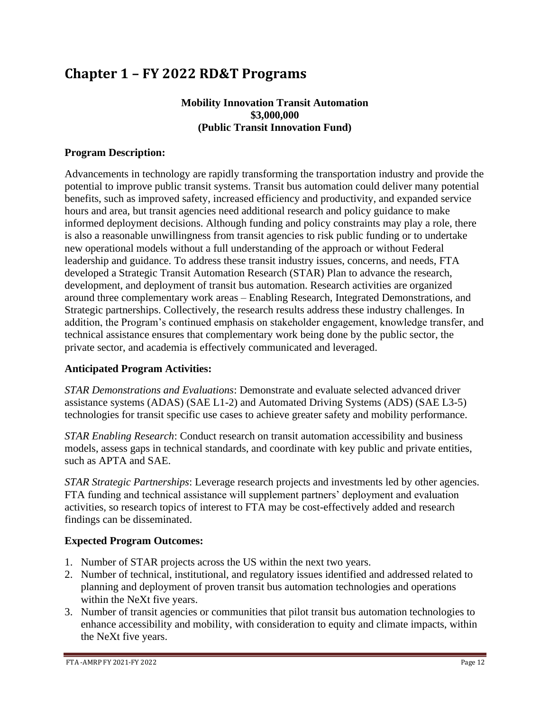# **Chapter 1 – FY 2022 RD&T Programs**

# **Mobility Innovation Transit Automation \$3,000,000 (Public Transit Innovation Fund)**

# **Program Description:**

Advancements in technology are rapidly transforming the transportation industry and provide the potential to improve public transit systems. Transit bus automation could deliver many potential benefits, such as improved safety, increased efficiency and productivity, and expanded service hours and area, but transit agencies need additional research and policy guidance to make informed deployment decisions. Although funding and policy constraints may play a role, there is also a reasonable unwillingness from transit agencies to risk public funding or to undertake new operational models without a full understanding of the approach or without Federal leadership and guidance. To address these transit industry issues, concerns, and needs, FTA developed a Strategic Transit Automation Research (STAR) Plan to advance the research, development, and deployment of transit bus automation. Research activities are organized around three complementary work areas – Enabling Research, Integrated Demonstrations, and Strategic partnerships. Collectively, the research results address these industry challenges. In addition, the Program's continued emphasis on stakeholder engagement, knowledge transfer, and technical assistance ensures that complementary work being done by the public sector, the private sector, and academia is effectively communicated and leveraged.

# **Anticipated Program Activities:**

*STAR Demonstrations and Evaluations*: Demonstrate and evaluate selected advanced driver assistance systems (ADAS) (SAE L1-2) and Automated Driving Systems (ADS) (SAE L3-5) technologies for transit specific use cases to achieve greater safety and mobility performance.

*STAR Enabling Research*: Conduct research on transit automation accessibility and business models, assess gaps in technical standards, and coordinate with key public and private entities, such as APTA and SAE.

*STAR Strategic Partnerships*: Leverage research projects and investments led by other agencies. FTA funding and technical assistance will supplement partners' deployment and evaluation activities, so research topics of interest to FTA may be cost-effectively added and research findings can be disseminated.

# **Expected Program Outcomes:**

- 1. Number of STAR projects across the US within the next two years.
- 2. Number of technical, institutional, and regulatory issues identified and addressed related to planning and deployment of proven transit bus automation technologies and operations within the NeXt five years.
- 3. Number of transit agencies or communities that pilot transit bus automation technologies to enhance accessibility and mobility, with consideration to equity and climate impacts, within the NeXt five years.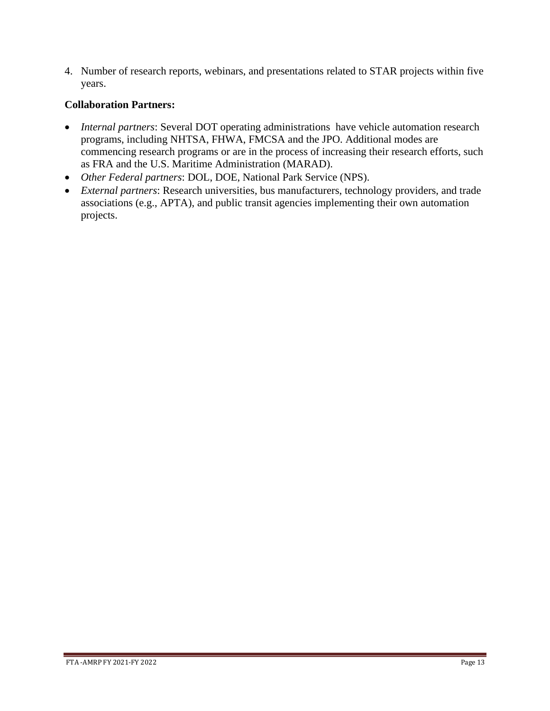4. Number of research reports, webinars, and presentations related to STAR projects within five years.

- *Internal partners*: Several DOT operating administrations have vehicle automation research programs, including NHTSA, FHWA, FMCSA and the JPO. Additional modes are commencing research programs or are in the process of increasing their research efforts, such as FRA and the U.S. Maritime Administration (MARAD).
- *Other Federal partners*: DOL, DOE, National Park Service (NPS).
- *External partners*: Research universities, bus manufacturers, technology providers, and trade associations (e.g., APTA), and public transit agencies implementing their own automation projects.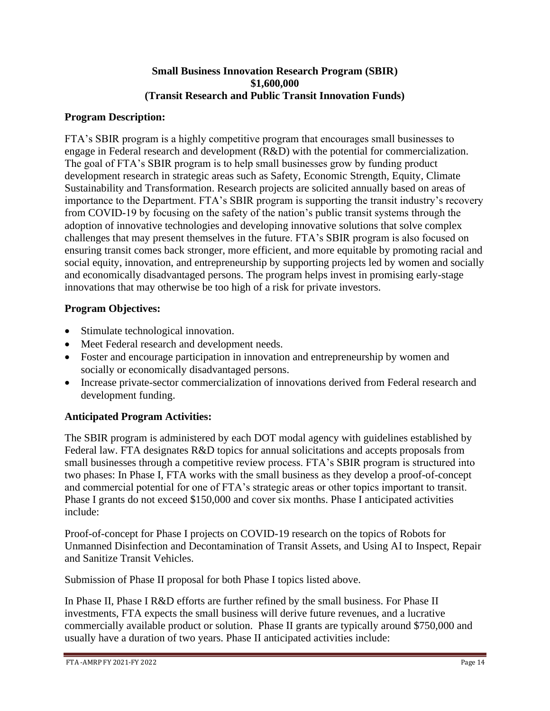## **Small Business Innovation Research Program (SBIR) \$1,600,000 (Transit Research and Public Transit Innovation Funds)**

# **Program Description:**

FTA's SBIR program is a highly competitive program that encourages small businesses to engage in Federal research and development (R&D) with the potential for commercialization. The goal of FTA's SBIR program is to help small businesses grow by funding product development research in strategic areas such as Safety, Economic Strength, Equity, Climate Sustainability and Transformation. Research projects are solicited annually based on areas of importance to the Department. FTA's SBIR program is supporting the transit industry's recovery from COVID-19 by focusing on the safety of the nation's public transit systems through the adoption of innovative technologies and developing innovative solutions that solve complex challenges that may present themselves in the future. FTA's SBIR program is also focused on ensuring transit comes back stronger, more efficient, and more equitable by promoting racial and social equity, innovation, and entrepreneurship by supporting projects led by women and socially and economically disadvantaged persons. The program helps invest in promising early-stage innovations that may otherwise be too high of a risk for private investors.

# **Program Objectives:**

- Stimulate technological innovation.
- Meet Federal research and development needs.
- Foster and encourage participation in innovation and entrepreneurship by women and socially or economically disadvantaged persons.
- Increase private-sector commercialization of innovations derived from Federal research and development funding.

# **Anticipated Program Activities:**

The SBIR program is administered by each DOT modal agency with guidelines established by Federal law. FTA designates R&D topics for annual solicitations and accepts proposals from small businesses through a competitive review process. FTA's SBIR program is structured into two phases: In Phase I, FTA works with the small business as they develop a proof-of-concept and commercial potential for one of FTA's strategic areas or other topics important to transit. Phase I grants do not exceed \$150,000 and cover six months. Phase I anticipated activities include:

Proof-of-concept for Phase I projects on COVID-19 research on the topics of Robots for Unmanned Disinfection and Decontamination of Transit Assets, and Using AI to Inspect, Repair and Sanitize Transit Vehicles.

Submission of Phase II proposal for both Phase I topics listed above.

In Phase II, Phase I R&D efforts are further refined by the small business. For Phase II investments, FTA expects the small business will derive future revenues, and a lucrative commercially available product or solution. Phase II grants are typically around \$750,000 and usually have a duration of two years. Phase II anticipated activities include: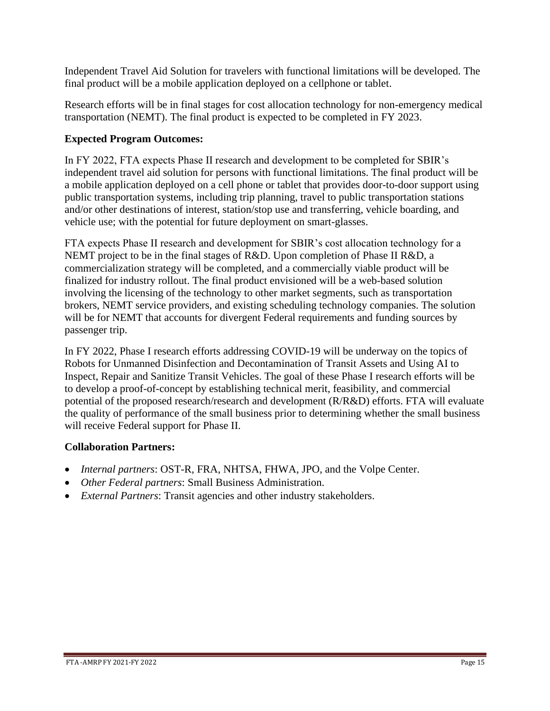Independent Travel Aid Solution for travelers with functional limitations will be developed. The final product will be a mobile application deployed on a cellphone or tablet.

Research efforts will be in final stages for cost allocation technology for non-emergency medical transportation (NEMT). The final product is expected to be completed in FY 2023.

# **Expected Program Outcomes:**

In FY 2022, FTA expects Phase II research and development to be completed for SBIR's independent travel aid solution for persons with functional limitations. The final product will be a mobile application deployed on a cell phone or tablet that provides door-to-door support using public transportation systems, including trip planning, travel to public transportation stations and/or other destinations of interest, station/stop use and transferring, vehicle boarding, and vehicle use; with the potential for future deployment on smart-glasses.

FTA expects Phase II research and development for SBIR's cost allocation technology for a NEMT project to be in the final stages of R&D. Upon completion of Phase II R&D, a commercialization strategy will be completed, and a commercially viable product will be finalized for industry rollout. The final product envisioned will be a web-based solution involving the licensing of the technology to other market segments, such as transportation brokers, NEMT service providers, and existing scheduling technology companies. The solution will be for NEMT that accounts for divergent Federal requirements and funding sources by passenger trip.

In FY 2022, Phase I research efforts addressing COVID-19 will be underway on the topics of Robots for Unmanned Disinfection and Decontamination of Transit Assets and Using AI to Inspect, Repair and Sanitize Transit Vehicles. The goal of these Phase I research efforts will be to develop a proof-of-concept by establishing technical merit, feasibility, and commercial potential of the proposed research/research and development (R/R&D) efforts. FTA will evaluate the quality of performance of the small business prior to determining whether the small business will receive Federal support for Phase II.

- *Internal partners*: OST-R, FRA, NHTSA, FHWA, JPO, and the Volpe Center.
- *Other Federal partners*: Small Business Administration.
- *External Partners*: Transit agencies and other industry stakeholders.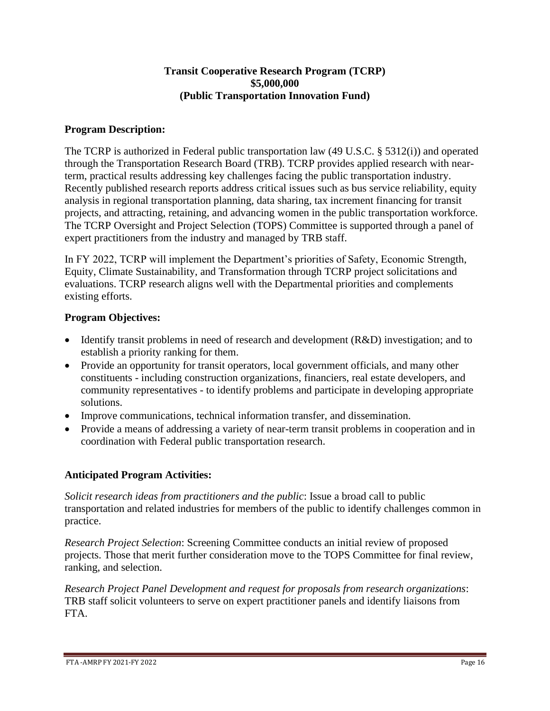## **Transit Cooperative Research Program (TCRP) \$5,000,000 (Public Transportation Innovation Fund)**

## **Program Description:**

The TCRP is authorized in Federal public transportation law (49 U.S.C. § 5312(i)) and operated through the Transportation Research Board (TRB). TCRP provides applied research with nearterm, practical results addressing key challenges facing the public transportation industry. Recently published research reports address critical issues such as bus service reliability, equity analysis in regional transportation planning, data sharing, tax increment financing for transit projects, and attracting, retaining, and advancing women in the public transportation workforce. The TCRP Oversight and Project Selection (TOPS) Committee is supported through a panel of expert practitioners from the industry and managed by TRB staff.

In FY 2022, TCRP will implement the Department's priorities of Safety, Economic Strength, Equity, Climate Sustainability, and Transformation through TCRP project solicitations and evaluations. TCRP research aligns well with the Departmental priorities and complements existing efforts.

#### **Program Objectives:**

- Identify transit problems in need of research and development (R&D) investigation; and to establish a priority ranking for them.
- Provide an opportunity for transit operators, local government officials, and many other constituents - including construction organizations, financiers, real estate developers, and community representatives - to identify problems and participate in developing appropriate solutions.
- Improve communications, technical information transfer, and dissemination.
- Provide a means of addressing a variety of near-term transit problems in cooperation and in coordination with Federal public transportation research.

# **Anticipated Program Activities:**

*Solicit research ideas from practitioners and the public*: Issue a broad call to public transportation and related industries for members of the public to identify challenges common in practice.

*Research Project Selection*: Screening Committee conducts an initial review of proposed projects. Those that merit further consideration move to the TOPS Committee for final review, ranking, and selection.

*Research Project Panel Development and request for proposals from research organizations*: TRB staff solicit volunteers to serve on expert practitioner panels and identify liaisons from FTA.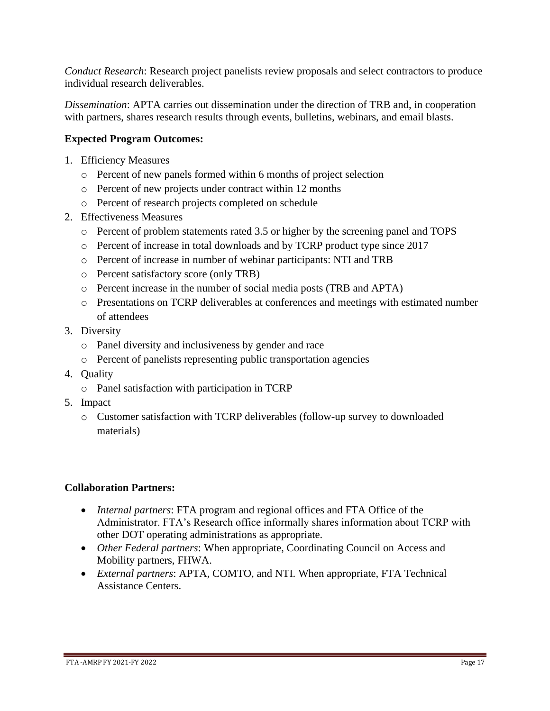*Conduct Research*: Research project panelists review proposals and select contractors to produce individual research deliverables.

*Dissemination*: APTA carries out dissemination under the direction of TRB and, in cooperation with partners, shares research results through events, bulletins, webinars, and email blasts.

# **Expected Program Outcomes:**

- 1. Efficiency Measures
	- o Percent of new panels formed within 6 months of project selection
	- o Percent of new projects under contract within 12 months
	- o Percent of research projects completed on schedule
- 2. Effectiveness Measures
	- o Percent of problem statements rated 3.5 or higher by the screening panel and TOPS
	- o Percent of increase in total downloads and by TCRP product type since 2017
	- o Percent of increase in number of webinar participants: NTI and TRB
	- o Percent satisfactory score (only TRB)
	- o Percent increase in the number of social media posts (TRB and APTA)
	- o Presentations on TCRP deliverables at conferences and meetings with estimated number of attendees
- 3. Diversity
	- o Panel diversity and inclusiveness by gender and race
	- o Percent of panelists representing public transportation agencies
- 4. Quality
	- o Panel satisfaction with participation in TCRP
- 5. Impact
	- o Customer satisfaction with TCRP deliverables (follow-up survey to downloaded materials)

- *Internal partners*: FTA program and regional offices and FTA Office of the Administrator. FTA's Research office informally shares information about TCRP with other DOT operating administrations as appropriate.
- *Other Federal partners*: When appropriate, Coordinating Council on Access and Mobility partners, FHWA.
- *External partners*: APTA, COMTO, and NTI. When appropriate, FTA Technical Assistance Centers.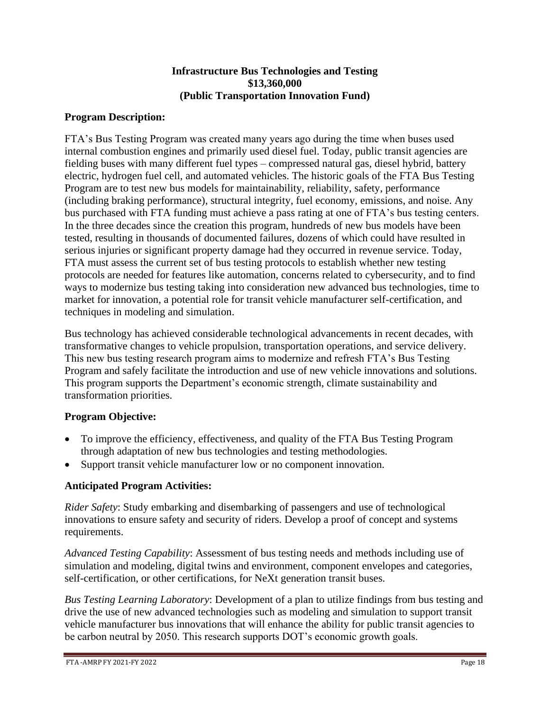#### **Infrastructure Bus Technologies and Testing \$13,360,000 (Public Transportation Innovation Fund)**

# **Program Description:**

FTA's Bus Testing Program was created many years ago during the time when buses used internal combustion engines and primarily used diesel fuel. Today, public transit agencies are fielding buses with many different fuel types – compressed natural gas, diesel hybrid, battery electric, hydrogen fuel cell, and automated vehicles. The historic goals of the FTA Bus Testing Program are to test new bus models for maintainability, reliability, safety, performance (including braking performance), structural integrity, fuel economy, emissions, and noise. Any bus purchased with FTA funding must achieve a pass rating at one of FTA's bus testing centers. In the three decades since the creation this program, hundreds of new bus models have been tested, resulting in thousands of documented failures, dozens of which could have resulted in serious injuries or significant property damage had they occurred in revenue service. Today, FTA must assess the current set of bus testing protocols to establish whether new testing protocols are needed for features like automation, concerns related to cybersecurity, and to find ways to modernize bus testing taking into consideration new advanced bus technologies, time to market for innovation, a potential role for transit vehicle manufacturer self-certification, and techniques in modeling and simulation.

Bus technology has achieved considerable technological advancements in recent decades, with transformative changes to vehicle propulsion, transportation operations, and service delivery. This new bus testing research program aims to modernize and refresh FTA's Bus Testing Program and safely facilitate the introduction and use of new vehicle innovations and solutions. This program supports the Department's economic strength, climate sustainability and transformation priorities.

# **Program Objective:**

- To improve the efficiency, effectiveness, and quality of the FTA Bus Testing Program through adaptation of new bus technologies and testing methodologies.
- Support transit vehicle manufacturer low or no component innovation.

# **Anticipated Program Activities:**

*Rider Safety*: Study embarking and disembarking of passengers and use of technological innovations to ensure safety and security of riders. Develop a proof of concept and systems requirements.

*Advanced Testing Capability*: Assessment of bus testing needs and methods including use of simulation and modeling, digital twins and environment, component envelopes and categories, self-certification, or other certifications, for NeXt generation transit buses.

*Bus Testing Learning Laboratory*: Development of a plan to utilize findings from bus testing and drive the use of new advanced technologies such as modeling and simulation to support transit vehicle manufacturer bus innovations that will enhance the ability for public transit agencies to be carbon neutral by 2050. This research supports DOT's economic growth goals.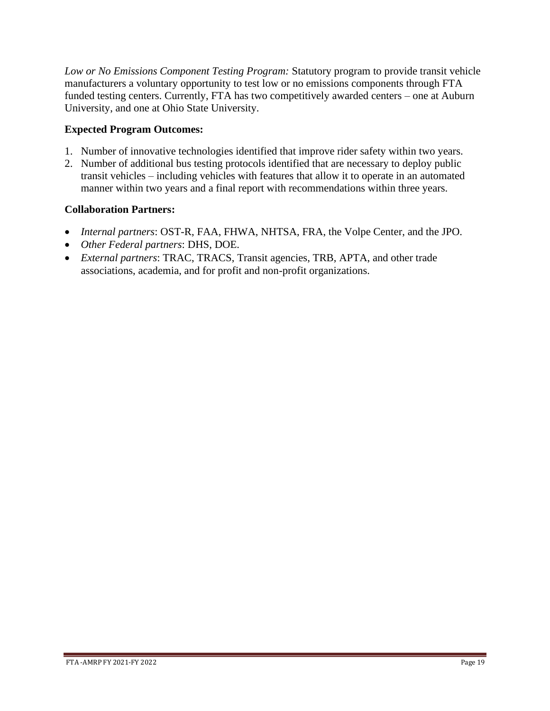*Low or No Emissions Component Testing Program:* Statutory program to provide transit vehicle manufacturers a voluntary opportunity to test low or no emissions components through FTA funded testing centers. Currently, FTA has two competitively awarded centers – one at Auburn University, and one at Ohio State University.

# **Expected Program Outcomes:**

- 1. Number of innovative technologies identified that improve rider safety within two years.
- 2. Number of additional bus testing protocols identified that are necessary to deploy public transit vehicles – including vehicles with features that allow it to operate in an automated manner within two years and a final report with recommendations within three years.

- *Internal partners*: OST-R, FAA, FHWA, NHTSA, FRA, the Volpe Center, and the JPO.
- *Other Federal partners*: DHS, DOE.
- *External partners*: TRAC, TRACS, Transit agencies, TRB, APTA, and other trade associations, academia, and for profit and non-profit organizations.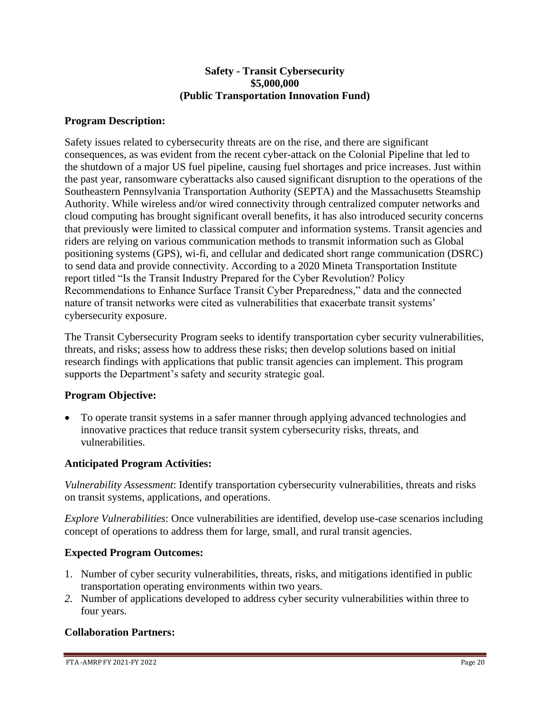#### **Safety - Transit Cybersecurity \$5,000,000 (Public Transportation Innovation Fund)**

# **Program Description:**

Safety issues related to cybersecurity threats are on the rise, and there are significant consequences, as was evident from the recent cyber-attack on the Colonial Pipeline that led to the shutdown of a major US fuel pipeline, causing fuel shortages and price increases. Just within the past year, ransomware cyberattacks also caused significant disruption to the operations of the Southeastern Pennsylvania Transportation Authority (SEPTA) and the Massachusetts Steamship Authority. While wireless and/or wired connectivity through centralized computer networks and cloud computing has brought significant overall benefits, it has also introduced security concerns that previously were limited to classical computer and information systems. Transit agencies and riders are relying on various communication methods to transmit information such as Global positioning systems (GPS), wi-fi, and cellular and dedicated short range communication (DSRC) to send data and provide connectivity. According to a 2020 Mineta Transportation Institute report titled "Is the Transit Industry Prepared for the Cyber Revolution? Policy Recommendations to Enhance Surface Transit Cyber Preparedness," data and the connected nature of transit networks were cited as vulnerabilities that exacerbate transit systems' cybersecurity exposure.

The Transit Cybersecurity Program seeks to identify transportation cyber security vulnerabilities, threats, and risks; assess how to address these risks; then develop solutions based on initial research findings with applications that public transit agencies can implement. This program supports the Department's safety and security strategic goal*.* 

#### **Program Objective:**

• To operate transit systems in a safer manner through applying advanced technologies and innovative practices that reduce transit system cybersecurity risks, threats, and vulnerabilities.

# **Anticipated Program Activities:**

*Vulnerability Assessment*: Identify transportation cybersecurity vulnerabilities, threats and risks on transit systems, applications, and operations.

*Explore Vulnerabilities*: Once vulnerabilities are identified, develop use-case scenarios including concept of operations to address them for large, small, and rural transit agencies.

#### **Expected Program Outcomes:**

- 1. Number of cyber security vulnerabilities, threats, risks, and mitigations identified in public transportation operating environments within two years.
- *2.* Number of applications developed to address cyber security vulnerabilities within three to four years.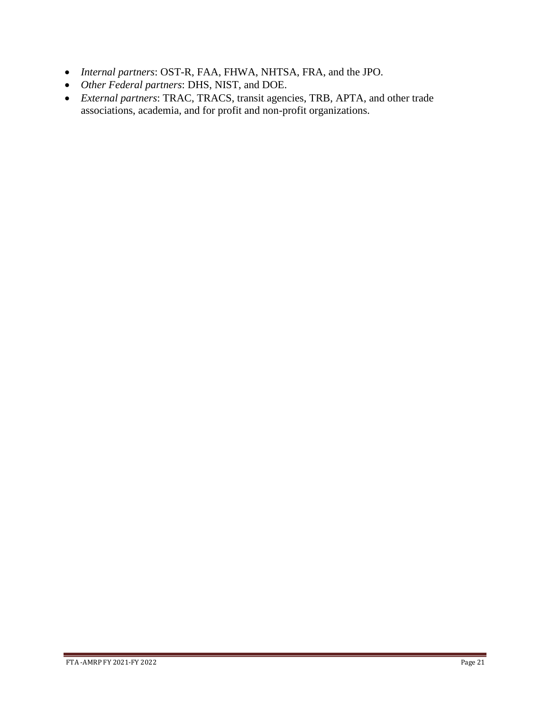- *Internal partners*: OST-R, FAA, FHWA, NHTSA, FRA, and the JPO.
- *Other Federal partners*: DHS, NIST, and DOE.
- *External partners*: TRAC, TRACS, transit agencies, TRB, APTA, and other trade associations, academia, and for profit and non-profit organizations.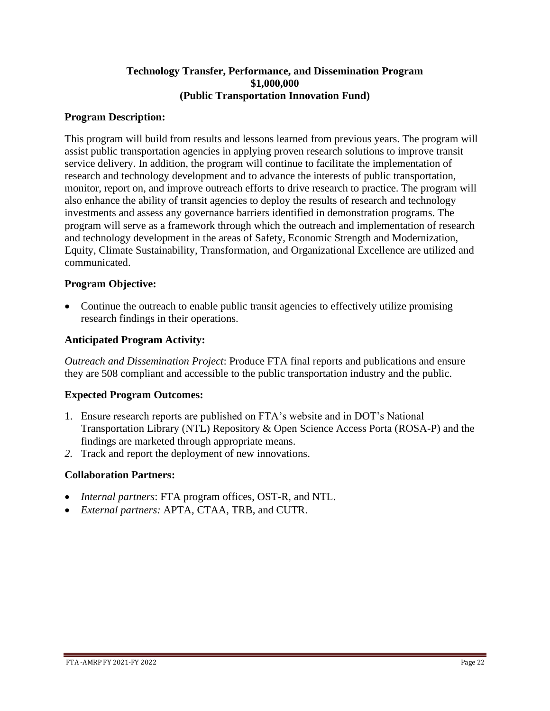#### **Technology Transfer, Performance, and Dissemination Program \$1,000,000 (Public Transportation Innovation Fund)**

### **Program Description:**

This program will build from results and lessons learned from previous years. The program will assist public transportation agencies in applying proven research solutions to improve transit service delivery. In addition, the program will continue to facilitate the implementation of research and technology development and to advance the interests of public transportation, monitor, report on, and improve outreach efforts to drive research to practice. The program will also enhance the ability of transit agencies to deploy the results of research and technology investments and assess any governance barriers identified in demonstration programs. The program will serve as a framework through which the outreach and implementation of research and technology development in the areas of Safety, Economic Strength and Modernization, Equity, Climate Sustainability, Transformation, and Organizational Excellence are utilized and communicated.

## **Program Objective:**

• Continue the outreach to enable public transit agencies to effectively utilize promising research findings in their operations.

## **Anticipated Program Activity:**

*Outreach and Dissemination Project*: Produce FTA final reports and publications and ensure they are 508 compliant and accessible to the public transportation industry and the public.

# **Expected Program Outcomes:**

- 1. Ensure research reports are published on FTA's website and in DOT's National Transportation Library (NTL) Repository & Open Science Access Porta (ROSA-P) and the findings are marketed through appropriate means.
- *2.* Track and report the deployment of new innovations.

- *Internal partners*: FTA program offices, OST-R, and NTL.
- *External partners:* APTA, CTAA, TRB, and CUTR.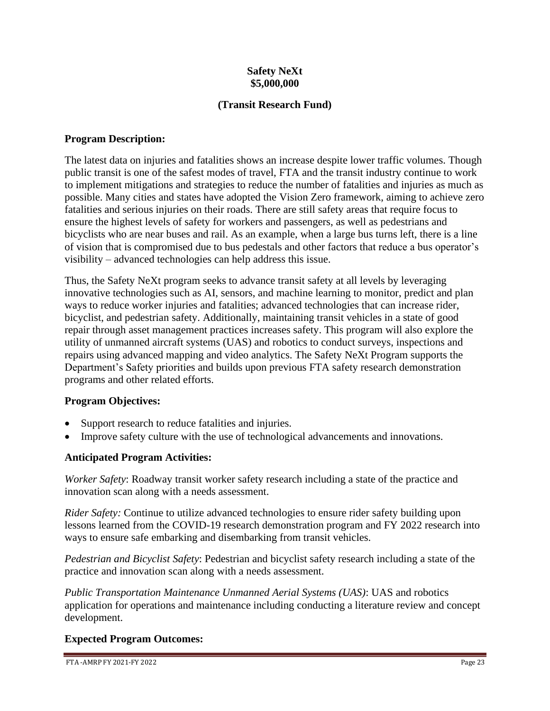## **Safety NeXt \$5,000,000**

# **(Transit Research Fund)**

## **Program Description:**

The latest data on injuries and fatalities shows an increase despite lower traffic volumes. Though public transit is one of the safest modes of travel, FTA and the transit industry continue to work to implement mitigations and strategies to reduce the number of fatalities and injuries as much as possible. Many cities and states have adopted the Vision Zero framework, aiming to achieve zero fatalities and serious injuries on their roads. There are still safety areas that require focus to ensure the highest levels of safety for workers and passengers, as well as pedestrians and bicyclists who are near buses and rail. As an example, when a large bus turns left, there is a line of vision that is compromised due to bus pedestals and other factors that reduce a bus operator's visibility – advanced technologies can help address this issue.

Thus, the Safety NeXt program seeks to advance transit safety at all levels by leveraging innovative technologies such as AI, sensors, and machine learning to monitor, predict and plan ways to reduce worker injuries and fatalities; advanced technologies that can increase rider, bicyclist, and pedestrian safety. Additionally, maintaining transit vehicles in a state of good repair through asset management practices increases safety. This program will also explore the utility of unmanned aircraft systems (UAS) and robotics to conduct surveys, inspections and repairs using advanced mapping and video analytics. The Safety NeXt Program supports the Department's Safety priorities and builds upon previous FTA safety research demonstration programs and other related efforts.

#### **Program Objectives:**

- Support research to reduce fatalities and injuries.
- Improve safety culture with the use of technological advancements and innovations.

# **Anticipated Program Activities:**

*Worker Safety*: Roadway transit worker safety research including a state of the practice and innovation scan along with a needs assessment.

*Rider Safety:* Continue to utilize advanced technologies to ensure rider safety building upon lessons learned from the COVID-19 research demonstration program and FY 2022 research into ways to ensure safe embarking and disembarking from transit vehicles.

*Pedestrian and Bicyclist Safety*: Pedestrian and bicyclist safety research including a state of the practice and innovation scan along with a needs assessment.

*Public Transportation Maintenance Unmanned Aerial Systems (UAS)*: UAS and robotics application for operations and maintenance including conducting a literature review and concept development.

# **Expected Program Outcomes:**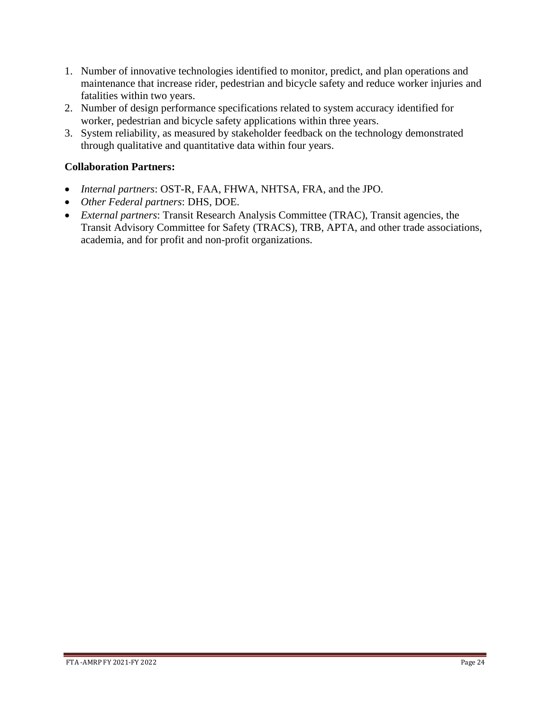- 1. Number of innovative technologies identified to monitor, predict, and plan operations and maintenance that increase rider, pedestrian and bicycle safety and reduce worker injuries and fatalities within two years.
- 2. Number of design performance specifications related to system accuracy identified for worker, pedestrian and bicycle safety applications within three years.
- 3. System reliability, as measured by stakeholder feedback on the technology demonstrated through qualitative and quantitative data within four years.

- *Internal partners*: OST-R, FAA, FHWA, NHTSA, FRA, and the JPO.
- *Other Federal partners*: DHS, DOE.
- *External partners*: Transit Research Analysis Committee (TRAC), Transit agencies, the Transit Advisory Committee for Safety (TRACS), TRB, APTA, and other trade associations, academia, and for profit and non-profit organizations.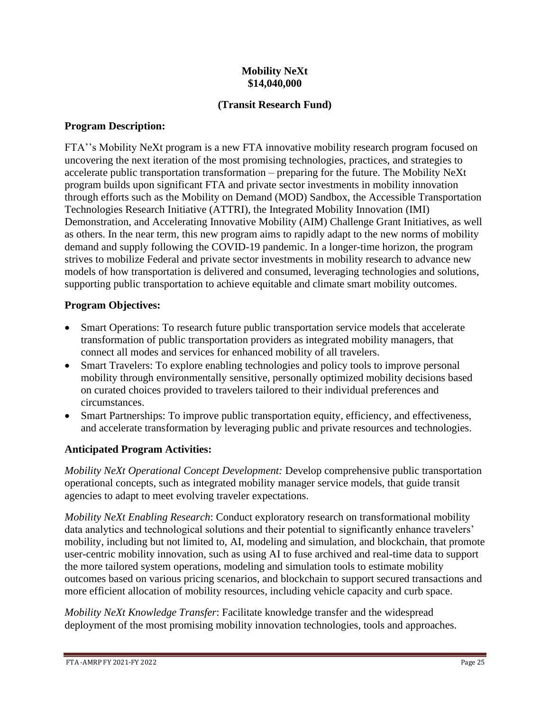# **Mobility NeXt \$14,040,000**

# **(Transit Research Fund)**

# **Program Description:**

FTA''s Mobility NeXt program is a new FTA innovative mobility research program focused on uncovering the next iteration of the most promising technologies, practices, and strategies to accelerate public transportation transformation – preparing for the future. The Mobility NeXt program builds upon significant FTA and private sector investments in mobility innovation through efforts such as the Mobility on Demand (MOD) Sandbox, the Accessible Transportation Technologies Research Initiative (ATTRI), the Integrated Mobility Innovation (IMI) Demonstration, and Accelerating Innovative Mobility (AIM) Challenge Grant Initiatives, as well as others. In the near term, this new program aims to rapidly adapt to the new norms of mobility demand and supply following the COVID-19 pandemic. In a longer-time horizon, the program strives to mobilize Federal and private sector investments in mobility research to advance new models of how transportation is delivered and consumed, leveraging technologies and solutions, supporting public transportation to achieve equitable and climate smart mobility outcomes.

# **Program Objectives:**

- Smart Operations: To research future public transportation service models that accelerate transformation of public transportation providers as integrated mobility managers, that connect all modes and services for enhanced mobility of all travelers.
- Smart Travelers: To explore enabling technologies and policy tools to improve personal mobility through environmentally sensitive, personally optimized mobility decisions based on curated choices provided to travelers tailored to their individual preferences and circumstances.
- Smart Partnerships: To improve public transportation equity, efficiency, and effectiveness, and accelerate transformation by leveraging public and private resources and technologies.

# **Anticipated Program Activities:**

*Mobility NeXt Operational Concept Development:* Develop comprehensive public transportation operational concepts, such as integrated mobility manager service models, that guide transit agencies to adapt to meet evolving traveler expectations.

*Mobility NeXt Enabling Research*: Conduct exploratory research on transformational mobility data analytics and technological solutions and their potential to significantly enhance travelers' mobility, including but not limited to, AI, modeling and simulation, and blockchain, that promote user-centric mobility innovation, such as using AI to fuse archived and real-time data to support the more tailored system operations, modeling and simulation tools to estimate mobility outcomes based on various pricing scenarios, and blockchain to support secured transactions and more efficient allocation of mobility resources, including vehicle capacity and curb space.

*Mobility NeXt Knowledge Transfer*: Facilitate knowledge transfer and the widespread deployment of the most promising mobility innovation technologies, tools and approaches.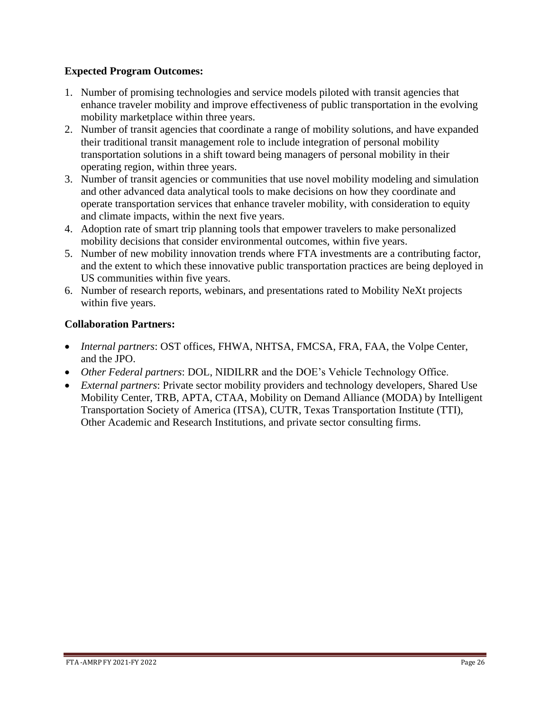# **Expected Program Outcomes:**

- 1. Number of promising technologies and service models piloted with transit agencies that enhance traveler mobility and improve effectiveness of public transportation in the evolving mobility marketplace within three years.
- 2. Number of transit agencies that coordinate a range of mobility solutions, and have expanded their traditional transit management role to include integration of personal mobility transportation solutions in a shift toward being managers of personal mobility in their operating region, within three years.
- 3. Number of transit agencies or communities that use novel mobility modeling and simulation and other advanced data analytical tools to make decisions on how they coordinate and operate transportation services that enhance traveler mobility, with consideration to equity and climate impacts, within the next five years.
- 4. Adoption rate of smart trip planning tools that empower travelers to make personalized mobility decisions that consider environmental outcomes, within five years.
- 5. Number of new mobility innovation trends where FTA investments are a contributing factor, and the extent to which these innovative public transportation practices are being deployed in US communities within five years.
- 6. Number of research reports, webinars, and presentations rated to Mobility NeXt projects within five years.

- *Internal partners*: OST offices, FHWA, NHTSA, FMCSA, FRA, FAA, the Volpe Center, and the JPO.
- *Other Federal partners*: DOL, NIDILRR and the DOE's Vehicle Technology Office.
- *External partners*: Private sector mobility providers and technology developers, Shared Use Mobility Center, TRB, APTA, CTAA, Mobility on Demand Alliance (MODA) by Intelligent Transportation Society of America (ITSA), CUTR, Texas Transportation Institute (TTI), Other Academic and Research Institutions, and private sector consulting firms.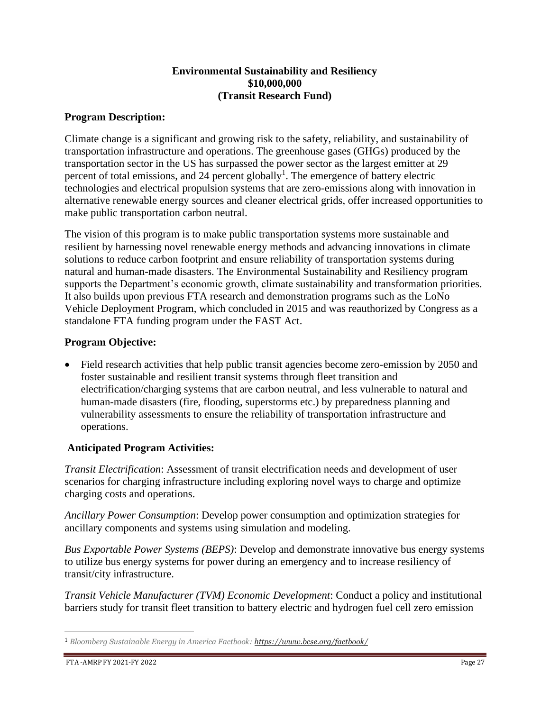## **Environmental Sustainability and Resiliency \$10,000,000 (Transit Research Fund)**

## **Program Description:**

Climate change is a significant and growing risk to the safety, reliability, and sustainability of transportation infrastructure and operations. The greenhouse gases (GHGs) produced by the transportation sector in the US has surpassed the power sector as the largest emitter at 29 percent of total emissions, and 24 percent globally<sup>1</sup>. The emergence of battery electric technologies and electrical propulsion systems that are zero-emissions along with innovation in alternative renewable energy sources and cleaner electrical grids, offer increased opportunities to make public transportation carbon neutral.

The vision of this program is to make public transportation systems more sustainable and resilient by harnessing novel renewable energy methods and advancing innovations in climate solutions to reduce carbon footprint and ensure reliability of transportation systems during natural and human-made disasters. The Environmental Sustainability and Resiliency program supports the Department's economic growth, climate sustainability and transformation priorities. It also builds upon previous FTA research and demonstration programs such as the LoNo Vehicle Deployment Program, which concluded in 2015 and was reauthorized by Congress as a standalone FTA funding program under the FAST Act.

# **Program Objective:**

• Field research activities that help public transit agencies become zero-emission by 2050 and foster sustainable and resilient transit systems through fleet transition and electrification/charging systems that are carbon neutral, and less vulnerable to natural and human-made disasters (fire, flooding, superstorms etc.) by preparedness planning and vulnerability assessments to ensure the reliability of transportation infrastructure and operations.

# **Anticipated Program Activities:**

*Transit Electrification*: Assessment of transit electrification needs and development of user scenarios for charging infrastructure including exploring novel ways to charge and optimize charging costs and operations.

*Ancillary Power Consumption*: Develop power consumption and optimization strategies for ancillary components and systems using simulation and modeling.

*Bus Exportable Power Systems (BEPS)*: Develop and demonstrate innovative bus energy systems to utilize bus energy systems for power during an emergency and to increase resiliency of transit/city infrastructure.

*Transit Vehicle Manufacturer (TVM) Economic Development*: Conduct a policy and institutional barriers study for transit fleet transition to battery electric and hydrogen fuel cell zero emission

<sup>1</sup> *Bloomberg Sustainable Energy in America Factbook: <https://www.bcse.org/factbook/>*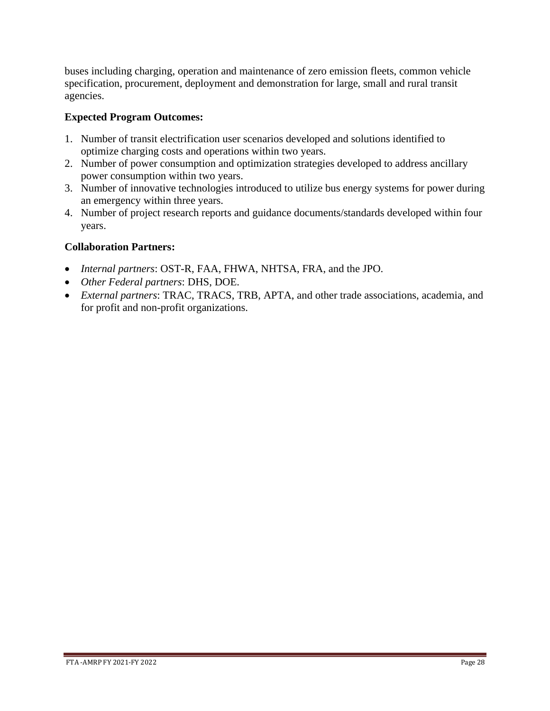buses including charging, operation and maintenance of zero emission fleets, common vehicle specification, procurement, deployment and demonstration for large, small and rural transit agencies.

# **Expected Program Outcomes:**

- 1. Number of transit electrification user scenarios developed and solutions identified to optimize charging costs and operations within two years.
- 2. Number of power consumption and optimization strategies developed to address ancillary power consumption within two years.
- 3. Number of innovative technologies introduced to utilize bus energy systems for power during an emergency within three years.
- 4. Number of project research reports and guidance documents/standards developed within four years.

- *Internal partners*: OST-R, FAA, FHWA, NHTSA, FRA, and the JPO.
- *Other Federal partners*: DHS, DOE.
- *External partners*: TRAC, TRACS, TRB, APTA, and other trade associations, academia, and for profit and non-profit organizations.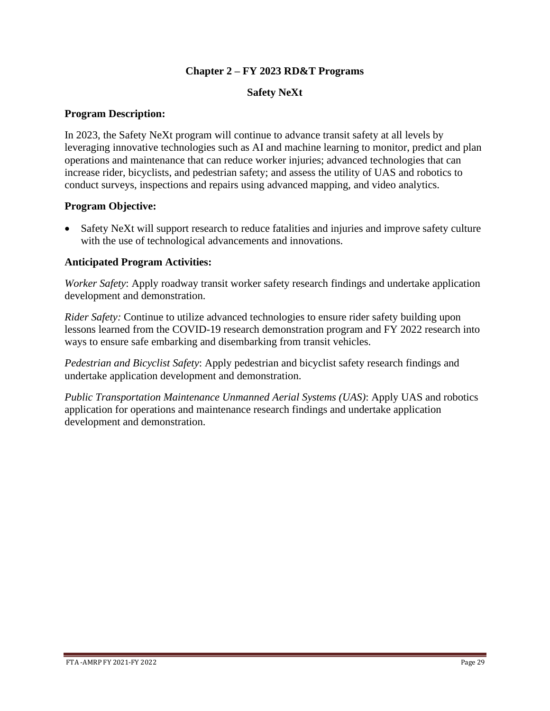# **Chapter 2 – FY 2023 RD&T Programs**

### **Safety NeXt**

### **Program Description:**

In 2023, the Safety NeXt program will continue to advance transit safety at all levels by leveraging innovative technologies such as AI and machine learning to monitor, predict and plan operations and maintenance that can reduce worker injuries; advanced technologies that can increase rider, bicyclists, and pedestrian safety; and assess the utility of UAS and robotics to conduct surveys, inspections and repairs using advanced mapping, and video analytics.

## **Program Objective:**

• Safety NeXt will support research to reduce fatalities and injuries and improve safety culture with the use of technological advancements and innovations.

## **Anticipated Program Activities:**

*Worker Safety*: Apply roadway transit worker safety research findings and undertake application development and demonstration.

*Rider Safety:* Continue to utilize advanced technologies to ensure rider safety building upon lessons learned from the COVID-19 research demonstration program and FY 2022 research into ways to ensure safe embarking and disembarking from transit vehicles.

*Pedestrian and Bicyclist Safety*: Apply pedestrian and bicyclist safety research findings and undertake application development and demonstration.

*Public Transportation Maintenance Unmanned Aerial Systems (UAS)*: Apply UAS and robotics application for operations and maintenance research findings and undertake application development and demonstration.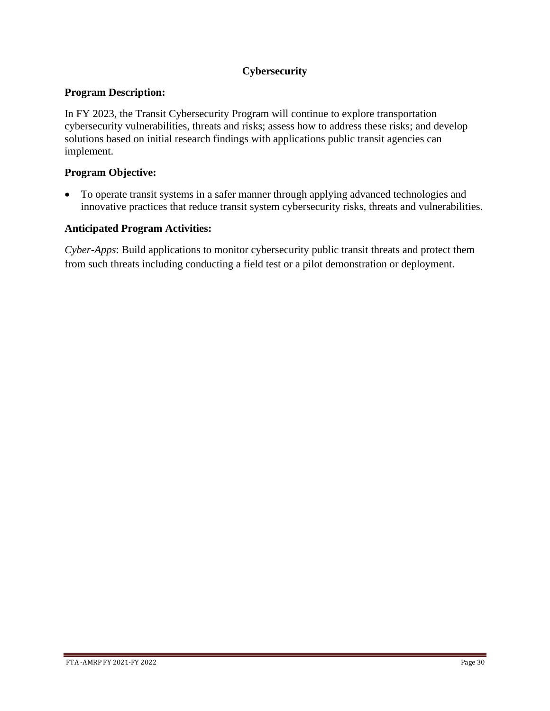# **Cybersecurity**

## **Program Description:**

In FY 2023, the Transit Cybersecurity Program will continue to explore transportation cybersecurity vulnerabilities, threats and risks; assess how to address these risks; and develop solutions based on initial research findings with applications public transit agencies can implement.

## **Program Objective:**

• To operate transit systems in a safer manner through applying advanced technologies and innovative practices that reduce transit system cybersecurity risks, threats and vulnerabilities.

#### **Anticipated Program Activities:**

*Cyber-Apps*: Build applications to monitor cybersecurity public transit threats and protect them from such threats including conducting a field test or a pilot demonstration or deployment.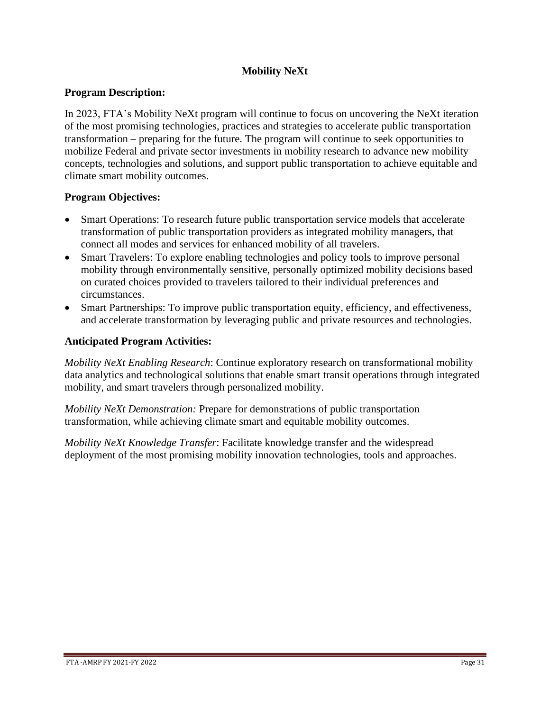# **Mobility NeXt**

## **Program Description:**

In 2023, FTA's Mobility NeXt program will continue to focus on uncovering the NeXt iteration of the most promising technologies, practices and strategies to accelerate public transportation transformation – preparing for the future. The program will continue to seek opportunities to mobilize Federal and private sector investments in mobility research to advance new mobility concepts, technologies and solutions, and support public transportation to achieve equitable and climate smart mobility outcomes.

## **Program Objectives:**

- Smart Operations: To research future public transportation service models that accelerate transformation of public transportation providers as integrated mobility managers, that connect all modes and services for enhanced mobility of all travelers.
- Smart Travelers: To explore enabling technologies and policy tools to improve personal mobility through environmentally sensitive, personally optimized mobility decisions based on curated choices provided to travelers tailored to their individual preferences and circumstances.
- Smart Partnerships: To improve public transportation equity, efficiency, and effectiveness, and accelerate transformation by leveraging public and private resources and technologies.

## **Anticipated Program Activities:**

*Mobility NeXt Enabling Research*: Continue exploratory research on transformational mobility data analytics and technological solutions that enable smart transit operations through integrated mobility, and smart travelers through personalized mobility.

*Mobility NeXt Demonstration:* Prepare for demonstrations of public transportation transformation, while achieving climate smart and equitable mobility outcomes.

*Mobility NeXt Knowledge Transfer*: Facilitate knowledge transfer and the widespread deployment of the most promising mobility innovation technologies, tools and approaches.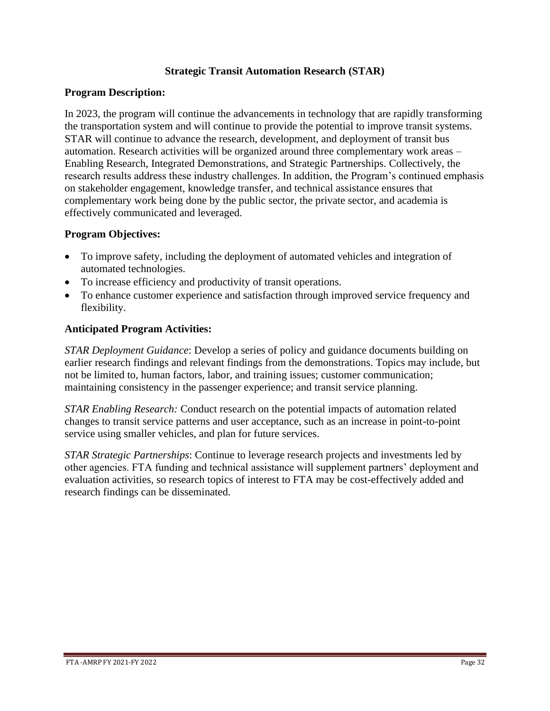# **Strategic Transit Automation Research (STAR)**

#### **Program Description:**

In 2023, the program will continue the advancements in technology that are rapidly transforming the transportation system and will continue to provide the potential to improve transit systems. STAR will continue to advance the research, development, and deployment of transit bus automation. Research activities will be organized around three complementary work areas – Enabling Research, Integrated Demonstrations, and Strategic Partnerships. Collectively, the research results address these industry challenges. In addition, the Program's continued emphasis on stakeholder engagement, knowledge transfer, and technical assistance ensures that complementary work being done by the public sector, the private sector, and academia is effectively communicated and leveraged.

#### **Program Objectives:**

- To improve safety, including the deployment of automated vehicles and integration of automated technologies.
- To increase efficiency and productivity of transit operations.
- To enhance customer experience and satisfaction through improved service frequency and flexibility.

#### **Anticipated Program Activities:**

*STAR Deployment Guidance*: Develop a series of policy and guidance documents building on earlier research findings and relevant findings from the demonstrations. Topics may include, but not be limited to, human factors, labor, and training issues; customer communication; maintaining consistency in the passenger experience; and transit service planning.

*STAR Enabling Research:* Conduct research on the potential impacts of automation related changes to transit service patterns and user acceptance, such as an increase in point-to-point service using smaller vehicles, and plan for future services.

*STAR Strategic Partnerships*: Continue to leverage research projects and investments led by other agencies. FTA funding and technical assistance will supplement partners' deployment and evaluation activities, so research topics of interest to FTA may be cost-effectively added and research findings can be disseminated.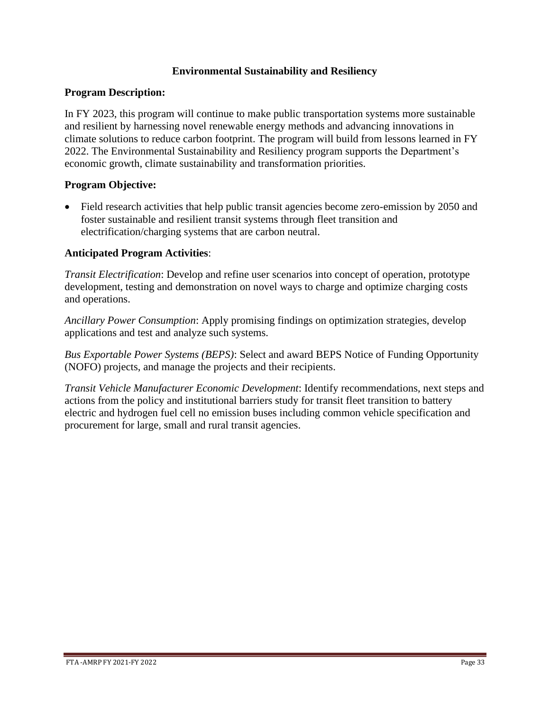# **Environmental Sustainability and Resiliency**

#### **Program Description:**

In FY 2023, this program will continue to make public transportation systems more sustainable and resilient by harnessing novel renewable energy methods and advancing innovations in climate solutions to reduce carbon footprint. The program will build from lessons learned in FY 2022. The Environmental Sustainability and Resiliency program supports the Department's economic growth, climate sustainability and transformation priorities.

#### **Program Objective:**

• Field research activities that help public transit agencies become zero-emission by 2050 and foster sustainable and resilient transit systems through fleet transition and electrification/charging systems that are carbon neutral.

#### **Anticipated Program Activities**:

*Transit Electrification*: Develop and refine user scenarios into concept of operation, prototype development, testing and demonstration on novel ways to charge and optimize charging costs and operations.

*Ancillary Power Consumption*: Apply promising findings on optimization strategies, develop applications and test and analyze such systems.

*Bus Exportable Power Systems (BEPS)*: Select and award BEPS Notice of Funding Opportunity (NOFO) projects, and manage the projects and their recipients.

*Transit Vehicle Manufacturer Economic Development*: Identify recommendations, next steps and actions from the policy and institutional barriers study for transit fleet transition to battery electric and hydrogen fuel cell no emission buses including common vehicle specification and procurement for large, small and rural transit agencies.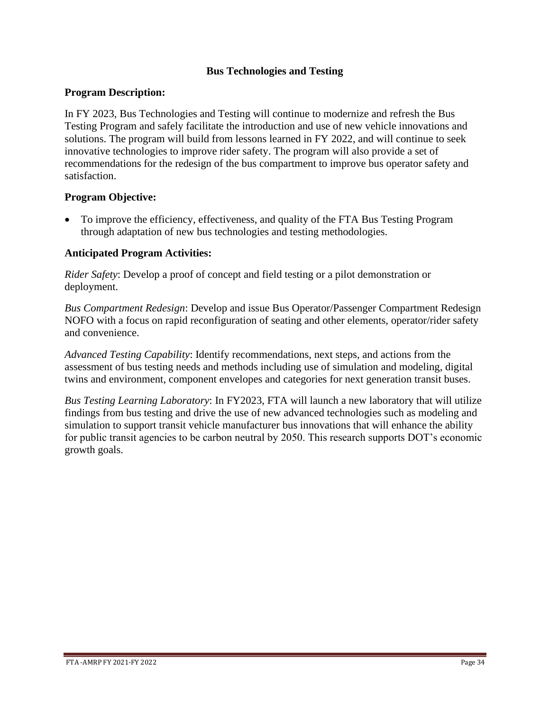# **Bus Technologies and Testing**

#### **Program Description:**

In FY 2023, Bus Technologies and Testing will continue to modernize and refresh the Bus Testing Program and safely facilitate the introduction and use of new vehicle innovations and solutions. The program will build from lessons learned in FY 2022, and will continue to seek innovative technologies to improve rider safety. The program will also provide a set of recommendations for the redesign of the bus compartment to improve bus operator safety and satisfaction.

#### **Program Objective:**

• To improve the efficiency, effectiveness, and quality of the FTA Bus Testing Program through adaptation of new bus technologies and testing methodologies.

#### **Anticipated Program Activities:**

*Rider Safety*: Develop a proof of concept and field testing or a pilot demonstration or deployment.

*Bus Compartment Redesign*: Develop and issue Bus Operator/Passenger Compartment Redesign NOFO with a focus on rapid reconfiguration of seating and other elements, operator/rider safety and convenience.

*Advanced Testing Capability*: Identify recommendations, next steps, and actions from the assessment of bus testing needs and methods including use of simulation and modeling, digital twins and environment, component envelopes and categories for next generation transit buses.

*Bus Testing Learning Laboratory*: In FY2023, FTA will launch a new laboratory that will utilize findings from bus testing and drive the use of new advanced technologies such as modeling and simulation to support transit vehicle manufacturer bus innovations that will enhance the ability for public transit agencies to be carbon neutral by 2050. This research supports DOT's economic growth goals.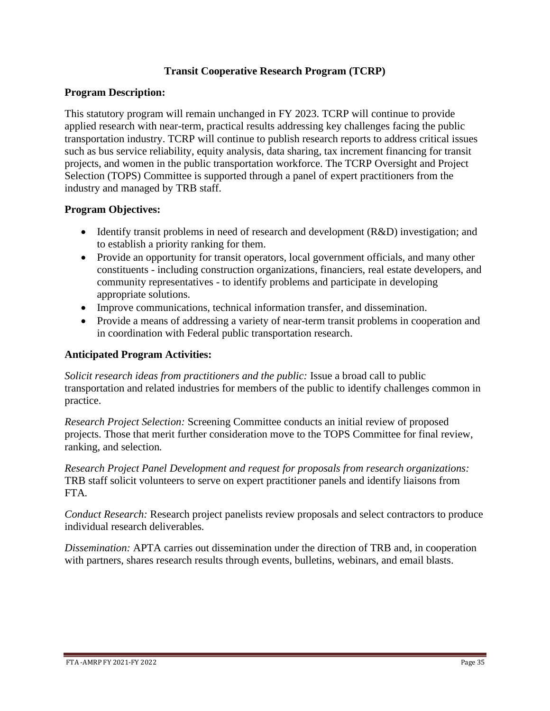# **Transit Cooperative Research Program (TCRP)**

## **Program Description:**

This statutory program will remain unchanged in FY 2023. TCRP will continue to provide applied research with near-term, practical results addressing key challenges facing the public transportation industry. TCRP will continue to publish research reports to address critical issues such as bus service reliability, equity analysis, data sharing, tax increment financing for transit projects, and women in the public transportation workforce. The TCRP Oversight and Project Selection (TOPS) Committee is supported through a panel of expert practitioners from the industry and managed by TRB staff.

## **Program Objectives:**

- Identify transit problems in need of research and development (R&D) investigation; and to establish a priority ranking for them.
- Provide an opportunity for transit operators, local government officials, and many other constituents - including construction organizations, financiers, real estate developers, and community representatives - to identify problems and participate in developing appropriate solutions.
- Improve communications, technical information transfer, and dissemination.
- Provide a means of addressing a variety of near-term transit problems in cooperation and in coordination with Federal public transportation research.

## **Anticipated Program Activities:**

*Solicit research ideas from practitioners and the public:* Issue a broad call to public transportation and related industries for members of the public to identify challenges common in practice.

*Research Project Selection:* Screening Committee conducts an initial review of proposed projects. Those that merit further consideration move to the TOPS Committee for final review, ranking, and selection*.*

*Research Project Panel Development and request for proposals from research organizations:*  TRB staff solicit volunteers to serve on expert practitioner panels and identify liaisons from FTA*.*

*Conduct Research:* Research project panelists review proposals and select contractors to produce individual research deliverables*.*

*Dissemination:* APTA carries out dissemination under the direction of TRB and, in cooperation with partners, shares research results through events, bulletins, webinars, and email blasts.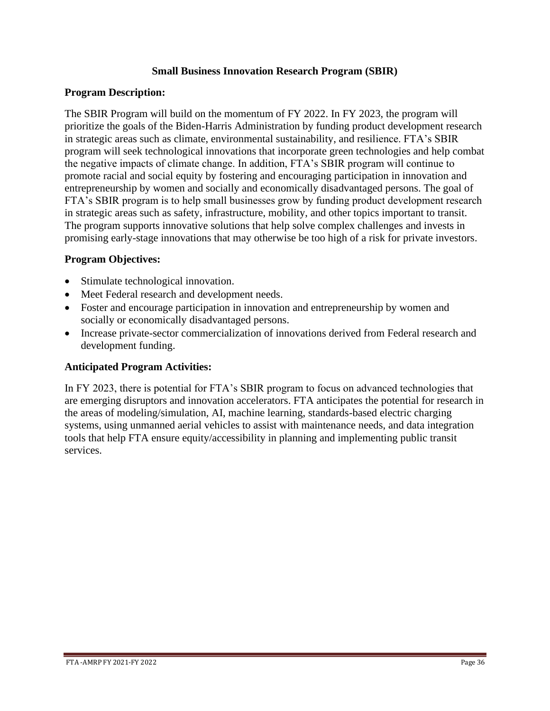## **Small Business Innovation Research Program (SBIR)**

#### **Program Description:**

The SBIR Program will build on the momentum of FY 2022. In FY 2023, the program will prioritize the goals of the Biden-Harris Administration by funding product development research in strategic areas such as climate, environmental sustainability, and resilience. FTA's SBIR program will seek technological innovations that incorporate green technologies and help combat the negative impacts of climate change. In addition, FTA's SBIR program will continue to promote racial and social equity by fostering and encouraging participation in innovation and entrepreneurship by women and socially and economically disadvantaged persons. The goal of FTA's SBIR program is to help small businesses grow by funding product development research in strategic areas such as safety, infrastructure, mobility, and other topics important to transit. The program supports innovative solutions that help solve complex challenges and invests in promising early-stage innovations that may otherwise be too high of a risk for private investors.

## **Program Objectives:**

- Stimulate technological innovation.
- Meet Federal research and development needs.
- Foster and encourage participation in innovation and entrepreneurship by women and socially or economically disadvantaged persons.
- Increase private-sector commercialization of innovations derived from Federal research and development funding.

#### **Anticipated Program Activities:**

In FY 2023, there is potential for FTA's SBIR program to focus on advanced technologies that are emerging disruptors and innovation accelerators. FTA anticipates the potential for research in the areas of modeling/simulation, AI, machine learning, standards-based electric charging systems, using unmanned aerial vehicles to assist with maintenance needs, and data integration tools that help FTA ensure equity/accessibility in planning and implementing public transit services.